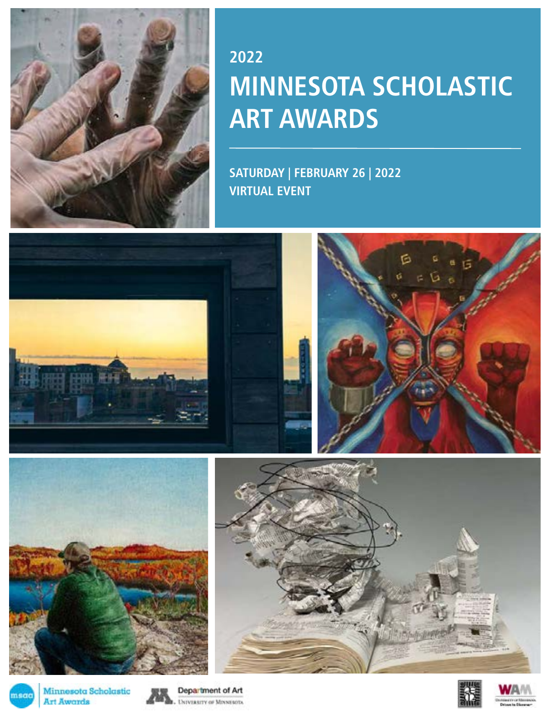

## **2022 MINNESOTA SCHOLASTIC ART AWARDS**

**SATURDAY | FEBRUARY 26 | 2022 VIRTUAL EVENT**



Minnesota Scholastic msao **Art Awards** 



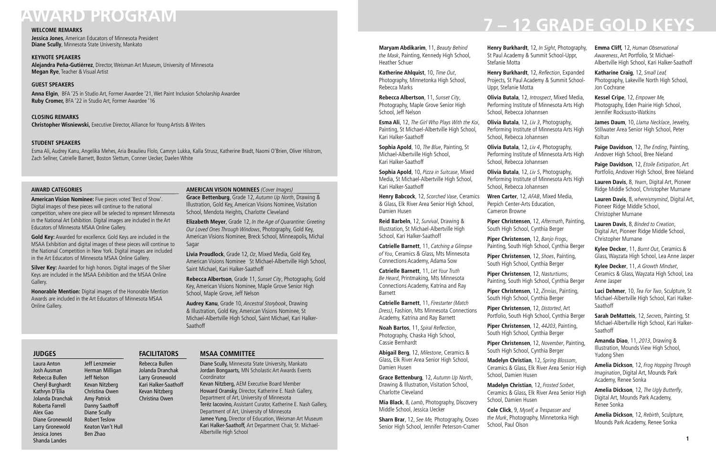### **AWARD CATEGORIES**

**American Vision Nominee:** Five pieces voted 'Best of Show'. Digital images of these pieces will continue to the national competition, where one piece will be selected to represent Minnesota in the National Art Exhibition. Digital images are included in the Art Educators of Minnesota MSAA Online Gallery.

**Silver Key:** Awarded for high honors. Digital images of the Silver Keys are included in the MSAA Exhibition and the MSAA Online Gallery.

**Gold Key:** Awarded for excellence. Gold Keys are included in the MSAA Exhibition and digital images of these pieces will continue to the National Competition in New York. Digital images are included in the Art Educators of Minnesota MSAA Online Gallery.

**Honorable Mention:** Digital images of the Honorable Mention Awards are included in the Art Educators of Minnesota MSAA Online Gallery.

**Maryam Abdikarim**, 11, *Beauty Behind the Mask*, Painting, Kennedy High School, Heather Schuer

**Katherine Ahlquist**, 10, *Time Out*, Photography, Minnetonka High School, Rebecca Marks

**Rebecca Albertson**, 11, *Sunset City*, Photography, Maple Grove Senior High School, Jeff Nelson

**Esma Ali**, 12, *The Girl Who Plays With the Koi*, Painting, St Michael-Albertville High School, Kari Halker-Saathoff

**Sophia Apold**, 10, *The Blue*, Painting, St Michael-Albertville High School, Kari Halker-Saathoff

**Sophia Apold**, 10, *Pizza in Suitcase*, Mixed Media, St Michael-Albertville High School, Kari Halker-Saathoff

**Henry Babcock**, 12, *Scorched Vase*, Ceramics & Glass, Elk River Area Senior High School, Damien Husen

**Reid Barbeln**, 12, *Survival*, Drawing & Illustration, St Michael-Albertville High School, Kari Halker-Saathoff

**Catrielle Barnett**, 11, *Catching a Glimpse of You*, Ceramics & Glass, Mts Minnesota Connections Academy, Adama Sow

**Catrielle Barnett**, 11, *Let Your Truth Be Heard*, Printmaking, Mts Minnesota Connections Academy, Katrina and Ray Barnett

**Catrielle Barnett**, 11, *Firestarter (Match Dress)*, Fashion, Mts Minnesota Connections Academy, Katrina and Ray Barnett

**Noah Bartos**, 11, Spiral Reflection, Photography, Chaska High School, Cassie Bernhardt

**Abigail Berg**, 12, *Milestone*, Ceramics & Glass, Elk River Area Senior High School, Damien Husen

**Grace Bettenburg**, 12, *Autumn Up North*, Drawing & Illustration, Visitation School, Charlotte Cleveland

**Mia Black**, 8, *Lamb*, Photography, Discovery Middle School, Jessica Uecker

**Sharn Brar**, 12, *See Me,* Photography, Osseo Senior High School, Jennifer Peterson-Cramer

## **AWARD PROGRAM**

### **WELCOME REMARKS**

**Jessica Jones**, American Educators of Minnesota President **Diane Scully**, Minnesota State University, Mankato

### **KEYNOTE SPEAKERS**

**Alejandra Peña-Gutiérrez**, Director, Weisman Art Museum, University of Minnesota **Megan Rye**, Teacher & Visual Artist

### **GUEST SPEAKERS**

**Anna Elgin**, BFA '25 in Studio Art, Former Awardee '21, Wet Paint Inclusion Scholarship Awardee **Ruby Cromer,** BFA '22 in Studio Art, Former Awardee '16

**CLOSING REMARKS Christopher Wisniewski,** Executive Director, Alliance for Young Artists & Writers

### **STUDENT SPEAKERS**

Esma Ali, Audrey Kanu, Angelika Mehes, Aria Beaulieu Flolo, Camryn Lukka, Kalla Strusz, Katherine Bradt, Naomi O'Brien, Oliver Hilstrom, Zach Sellner, Catrielle Barnett, Boston Slettum, Conner Uecker, Daelen White

### **AMERICAN VISION NOMINEES** *(Cover Images)*

**Grace Bettenburg**, Grade 12, *Autumn Up North*, Drawing & Illustration, Gold Key, American Visions Nominee, Visitation School, Mendota Heights, Charlotte Cleveland

**Elizabeth Meyer**, Grade 12, *In the Age of Quarantine: Greeting Our Loved Ones Through Windows*, Photography, Gold Key, American Visions Nominee, Breck School, Minneapolis, Michal Sagar

**Livia Proudlock**, Grade 12, *Oz*, Mixed Media, Gold Key, American Visions Nominee St Michael-Albertville High School, Saint Michael, Kari Halker-Saathoff

**Rebecca Albertson**, Grade 11, *Sunset City*, Photography, Gold Key, American Visions Nominee, Maple Grove Senior High School, Maple Grove, Jeff Nelson

**Audrey Kanu**, Grade 10, *Ancestral Storybook*, Drawing & Illustration, Gold Key, American Visions Nominee, St Michael-Albertville High School, Saint Michael, Kari Halker-Saathoff

**Henry Burkhardt**, 12, *In Sight*, Photography, St Paul Academy & Summit School-Uppr,

Stefanie Motta **Henry Burkhardt**, 12, Reflection, Expanded Projects, St Paul Academy & Summit School-Uppr, Stefanie Motta

**Olivia Butala**, 12, *Introspect*, Mixed Media, Performing Institute of Minnesota Arts High School, Rebecca Johannsen

**Olivia Butala**, 12, *Liv 3*, Photography, Performing Institute of Minnesota Arts High School, Rebecca Johannsen

**Olivia Butala**, 12, *Liv 4*, Photography, Performing Institute of Minnesota Arts High School, Rebecca Johannsen

**Olivia Butala**, 12, *Liv 5*, Photography, Performing Institute of Minnesota Arts High School, Rebecca Johannsen

**Wren Carter**, 12, *AFAB*, Mixed Media, Perpich Center-Arts Education, Cameron Browne

**Piper Christensen**, 12, *Aftermath*, Painting, South High School, Cynthia Berger

**Piper Christensen**, 12, *Banjo Frogs*, Painting, South High School, Cynthia Berger

**Piper Christensen**, 12, *Shoes*, Painting, South High School, Cynthia Berger

**Piper Christensen**, 12, *Nasturtiums*, Painting, South High School, Cynthia Berger

**Piper Christensen**, 12, *Zinnias*, Painting, South High School, Cynthia Berger

**Piper Christensen**, 12, *Distorted*, Art Portfolio, South High School, Cynthia Berger

**Piper Christensen**, 12, *44203*, Painting, South High School, Cynthia Berger

**Piper Christensen**, 12, *November*, Painting, South High School, Cynthia Berger

**Madelyn Christian**, 12, *Spring Blossom*, Ceramics & Glass, Elk River Area Senior High School, Damien Husen

**Madelyn Christian**, 12, *Frosted Sorbet*, Ceramics & Glass, Elk River Area Senior High School, Damien Husen

**Cole Click**, 9, *Myself, a Trespasser and the Murk*, Photography, Minnetonka High School, Paul Olson

**Emma Cliff,** 12, *Human Observational Awareness*, Art Portfolio, St Michael-Albertville High School, Kari Halker-Saathoff

**Katharine Craig**, 12, *Small Leaf,* Photography, Lakeville North High School, Jon Cochrane

**Kessel Cripe**, 12, *Empower Me,* Photography, Eden Prairie High School, Jennifer Rocksusto-Watkins

**James Daum**, 10, *Llama Necklace*, Jewelry, Stillwater Area Senior High School, Peter Koltun

**Paige Davidson**, 12, *The Ending*, Painting, Andover High School, Bree Nieland

**Paige Davidson**, 12, *Etoile Extirpation*, Art Portfolio, Andover High School, Bree Nieland

**Lauren Davis**, 8, *Yearn*, Digital Art, Pioneer Ridge Middle School, Christopher Murnane

**Lauren Davis**, 8, *whereismymind*, Digital Art, Pioneer Ridge Middle School, Christopher Murnane

**Lauren Davis**, 8, *Binded to Creation*, Digital Art, Pioneer Ridge Middle School, Christopher Murnane

**Kylee Decker**, 11, *Burnt Out*, Ceramics & Glass, Wayzata High School, Lea Anne Jasper

**Kylee Decker**, 11, *A Growth Mindset*, Ceramics & Glass, Wayzata High School, Lea Anne Jasper

**Luci Dehmer**, 10, *Tea For Two*, Sculpture, St Michael-Albertville High School, Kari Halker-Saathoff

**Sarah DeMatteis**, 12, *Secrets*, Painting, St Michael-Albertville High School, Kari Halker-Saathoff

**Amanda Diao**, 11, *2013*, Drawing & Illustration, Mounds View High School, Yudong Shen

**Amelia Dickson**, 12, *Frog Hopping Through Imagination*, Digital Art, Mounds Park Academy, Renee Sonka

**Amelia Dickson**, 12, The Ugly Butterfly, Digital Art, Mounds Park Academy, Renee Sonka

**Amelia Dickson**, 12, *Rebirth*, Sculpture, Mounds Park Academy, Renee Sonka

# **7 – 12 GRADE GOLD KEYS**

### **MSAA COMMITTEE**

Diane Scully, Minnesota State University, Mankato Jordan Bongaarts, MN Scholastic Art Awards Events **Coordinator** Kevan Nitzberg, AEM Executive Board Member Howard Oransky, Director, Katherine E. Nash Gallery, Department of Art, University of Minnesota Teréz Iacovino, Assistant Curator, Katherine E. Nash Gallery, Department of Art, University of Minnesota Jamee Yung, Director of Education, Weisman Art Museum Kari Halker-Saathoff, Art Department Chair, St. Michael-Albertville High School

### **FACILITATORS**

Rebecca Bullen Jolanda Dranchak Larry Gronewold Kari Halker-Saathoff Kevan Nitzberg Christina Owen

### **JUDGES**

Laura Anton Josh Ausman Rebecca Bullen Cheryl Burghardt Kathryn D'Elia Jolanda Dranchak Roberta Farrell Alex Gao Diane Gronewold Larry Gronewold Jessica Jones Shanda Landes

Jeff Lenzmeier Herman Milligan Jeff Nelson Kevan Nitzberg Christina Owen Amy Patrick Danny Saathoff Diane Scully Robert Teslow Keaton Van't Hull Ben Zhao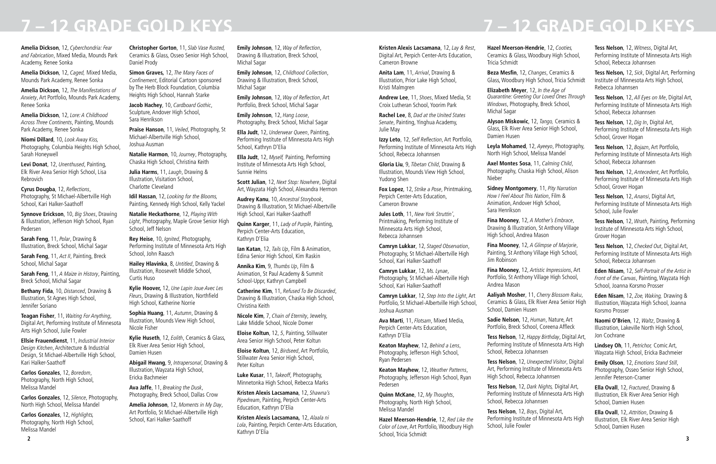**Amelia Dickson**, 12, *Cyberchondria: Fear and Fabrication*, Mixed Media, Mounds Park Academy, Renee Sonka

**Amelia Dickson**, 12, *Caged,* Mixed Media, Mounds Park Academy, Renee Sonka

**Amelia Dickson**, 12, *The Manifestations of Anxiety*, Art Portfolio, Mounds Park Academy, Renee Sonka

**Amelia Dickson**, 12, *Lore: A Childhood Across Three Continents*, Painting, Mounds Park Academy, Renee Sonka

**Niomi Dillard**, 10, *Look Away Kiss,* Photography, Columbia Heights High School, Sarah Honeywell

**Levi Donat**, 12, *Unenthused*, Painting, Elk River Area Senior High School, Lisa Rebrovich

**Cyrus Dougba**, 12, Reflections, Photography, St Michael-Albertville High School, Kari Halker-Saathoff

**Synnove Erickson**, 10, *Big Shoes*, Drawing & Illustration, Jefferson High School, Ryan Pedersen

**Sarah Feng**, 11, *Polar*, Drawing & Illustration, Breck School, Michal Sagar

**Sarah Feng**, 11, *Act II*, Painting, Breck School, Michal Sagar

**Sarah Feng**, 11, *A Maize in History*, Painting, Breck School, Michal Sagar

**Bethany Fida**, 10, *Distanced*, Drawing & Illustration, St Agnes High School, Jennifer Soriano

**Teagan Fisher**, 11, *Waiting For Anything*, Digital Art, Performing Institute of Minnesota Arts High School, Julie Fowler

**Ellsie Frauendienst**, 11, *Industrial Interior Design Kitchen*, Architecture & Industrial Design, St Michael-Albertville High School, Kari Halker-Saathoff

**Carlos Gonzales**, 12, *Boredom*, Photography, North High School, Melissa Mandel

**Carlos Gonzales**, 12, *Silence*, Photography, North High School, Melissa Mandel

**Carlos Gonzales**, 12, *Highlights,* Photography, North High School, Melissa Mandel

**Christopher Gorton**, 11, *Slab Vase Rusted,* Ceramics & Glass, Osseo Senior High School, Daniel Prody

**Simon Graves,** 12, *The Many Faces of*  Confinement, Editorial Cartoon sponsored by The Herb Block Foundation, Columbia Heights High School, Hannah Starke

**Jacob Hachey**, 10, *Cardboard Gothic*, Sculpture, Andover High School, Sara Henrikson

**Praise Hanson**, 11, *Veiled*, Photography, St Michael-Albertville High School, Joshua Ausman

**Natalie Harmon**, 10, *Journey*, Photography, Chaska High School, Christina Keith

**Julia Harms**, 11, *Laugh*, Drawing & Illustration, Visitation School, Charlotte Cleveland

**Idil Hassan**, 12, *Looking for the Blooms,* Painting, Kennedy High School, Kelly Yackel

**Natalie Heckathorne**, 12, *Playing With Light*, Photography, Maple Grove Senior High School, Jeff Nelson

**Rey Heise**, 10, *Ignited*, Photography, Performing Institute of Minnesota Arts High School, John Raasch

**Hailey Hlavinka**, 8, *Untitled*, Drawing & Illustration, Roosevelt Middle School, Curtis Huso

**Kylie Hoover,** 12, *Une Lapin Joue Avec Les Fleurs*, Drawing & Illustration, Northfield High School, Katherine Norrie

**Sophia Huang**, 11, *Autumn*, Drawing & Illustration, Mounds View High School, Nicole Fisher

**Kylie Huseth**, 12, *Eolith*, Ceramics & Glass, Elk River Area Senior High School, Damien Husen

**Abigail Hwang**, 9, *Intrapersonal*, Drawing & Illustration, Wayzata High School, Ericka Bachmeier

**Ava Jaffe**, 11, *Breaking the Dusk*, Photography, Breck School, Dallas Crow

**Amelia Johnson**, 12, *Moments in My Day*, Art Portfolio, St Michael-Albertville High School, Kari Halker-Saathoff

**2 3 Hazel Meerson-Hendrie**, 12, *Red Like the Color of Love*, Art Portfolio, Woodbury High School, Tricia Schmidt

**Emily Johnson**, 12, Way of Reflection, Drawing & Illustration, Breck School, Michal Sagar

**Emily Johnson**, 12, *Childhood Collection*, Drawing & Illustration, Breck School, Michal Sagar

**Emily Johnson**, 12, Way of Reflection, Art Portfolio, Breck School, Michal Sagar

**Emily Johnson**, 12, *Hang Loose*, Photography, Breck School, Michal Sagar

**Ella Judt**, 12, *Underwear Queen*, Painting, Performing Institute of Minnesota Arts High School, Kathryn D'Elia

**Ella Judt**, 12, *Myself,* Painting, Performing Institute of Minnesota Arts High School, Sunnie Helms

**Scott Julian**, 12, *Next Stop: Nowhere*, Digital Art, Wayzata High School, Alexandra Hermon

**Audrey Kanu**, 10, *Ancestral Storybook*, Drawing & Illustration, St Michael-Albertville High School, Kari Halker-Saathoff

**Quinn Karger**, 11, *Lady of Purple*, Painting, Perpich Center-Arts Education, Kathryn D'Elia

**Ian Katan**, 12, *Tails Up*, Film & Animation, Edina Senior High School, Kim Raskin

**Annika Kim**, 9, *Thumbs Up*, Film & Animation, St Paul Academy & Summit School-Uppr, Kathryn Campbell

**Catherine Kim**, 11, *Refused To Be Discarded*, Drawing & Illustration, Chaska High School, Christina Keith

**Nicole Kim**, 7, *Chain of Eternity*, Jewelry, Lake Middle School, Nicole Domer

**Eloise Koltun**, 12, *5*, Painting, Stillwater Area Senior High School, Peter Koltun

**Eloise Koltun**, 12, *Birdseed*, Art Portfolio, Stillwater Area Senior High School, Peter Koltun

**Luke Kusar**, 11, *Takeoff*, Photography, Minnetonka High School, Rebecca Marks

**Kristen Alexis Lacsamana**, 12, *Shawna's Pipedream*, Painting, Perpich Center-Arts Education, Kathryn D'Elia

**Kristen Alexis Lacsamana,** 12, *Alaala ni Lola*, Painting, Perpich Center-Arts Education, Kathryn D'Elia

**Kristen Alexis Lacsamana**, 12, *Lay & Rest*, Digital Art, Perpich Center-Arts Education, Cameron Browne

**Anita Lam**, 11, *Arrival*, Drawing & Illustration, Prior Lake High School, Kristi Malmgren

**Andrew Lee**, 11, *Shoes*, Mixed Media, St Croix Lutheran School, Yoorim Park

**Rachel Lee**, 8, *Dad at the United States Senate*, Painting, Yinghua Academy, Julie May

**Izzy Leto**, 12, Self Reflection, Art Portfolio, Performing Institute of Minnesota Arts High School, Rebecca Johannsen

**Gloria Liu**, 9, *Tibetan Child*, Drawing & Illustration, Mounds View High School, Yudong Shen

**Fox Lopez**, 12, *Strike a Pose*, Printmaking, Perpich Center-Arts Education, Cameron Browne

**Jules Loth**, 11, *New York Struttin'*, Printmaking, Performing Institute of Minnesota Arts High School, Rebecca Johannsen

**Camryn Lukkar**, 12, *Staged Observation*, Photography, St Michael-Albertville High School, Kari Halker-Saathoff

**Camryn Lukkar**, 12, *Ms. Lynae*, Photography, St Michael-Albertville High School, Kari Halker-Saathoff

**Camryn Lukkar**, 12, *Step Into the Light*, Art Portfolio, St Michael-Albertville High School, Joshua Ausman

**Ava Marti**, 11, *Flotsam*, Mixed Media, Perpich Center-Arts Education, Kathryn D'Elia

**Keaton Mayhew**, 12, *Behind a Lens*, Photography, Jefferson High School, Ryan Pedersen

**Keaton Mayhew**, 12, *Weather Patterns*, Photography, Jefferson High School, Ryan Pedersen

**Quinn McKane**, 12, *My Thoughts*, Photography, North High School, Melissa Mandel

**Hazel Meerson-Hendrie**, 12, *Cooties,* Ceramics & Glass, Woodbury High School, Tricia Schmidt

**Beza Mesfin**, 12, *Changes*, Ceramics & Glass, Woodbury High School, Tricia Schmidt

**Elizabeth Meyer**, 12, *In the Age of Quarantine: Greeting Our Loved Ones Through Windows*, Photography, Breck School,

Michal Sagar

**Alyson Miskowic**, 12, *Tango,* Ceramics & Glass, Elk River Area Senior High School, Damien Husen

**Leyla Mohamed**, 12, *Ayeeyo*, Photography, North High School, Melissa Mandel

**Axel Montes Sosa**, 11, *Calming Child*, Photography, Chaska High School, Alison Nieber

**Sidney Montgomery**, 11, *Pity Narration* 

*How I Feel About This Nation*, Film & Animation, Andover High School, Sara Henrikson

**Fina Mooney**, 12, *A Mother's Embrace*, Drawing & Illustration, St Anthony Village High School, Andrea Mason

**Fina Mooney**, 12, *A Glimpse of Marjorie*, Painting, St Anthony Village High School, Jim Robinson

**Fina Mooney**, 12, *Artistic Impressions*, Art Portfolio, St Anthony Village High School, Andrea Mason

**Aaliyah Mosher**, 11, *Cherry Blossom Raku*, Ceramics & Glass, Elk River Area Senior High School, Damien Husen

**Sadie Nelson**, 12, *Human*, Nature, Art Portfolio, Breck School, Coreena Affleck

**Tess Nelson**, 12, *Happy Birthday*, Digital Art, Performing Institute of Minnesota Arts High School, Rebecca Johannsen

**Tess Nelson**, 12, *Unexpected Visitor*, Digital Art, Performing Institute of Minnesota Arts High School, Rebecca Johannsen

**Tess Nelson**, 12, *Dark Nights,* Digital Art, Performing Institute of Minnesota Arts High School, Rebecca Johannsen

**Tess Nelson**, 12, *Boys*, Digital Art, Performing Institute of Minnesota Arts High School, Julie Fowler

**Tess Nelson**, 12, *Witness*, Digital Art, Performing Institute of Minnesota Arts High School, Rebecca Johannsen

**Tess Nelson,** 12, *Sick*, Digital Art, Performing Institute of Minnesota Arts High School, Rebecca Johannsen

**Tess Nelson**, 12, *All Eyes on Me*, Digital Art, Performing Institute of Minnesota Arts High School, Rebecca Johannsen

**Tess Nelson**, 12, *Dig In*, Digital Art, Performing Institute of Minnesota Arts High School, Grover Hogan

**Tess Nelson**, 12, *Bojazn*, Art Portfolio, Performing Institute of Minnesota Arts High School, Rebecca Johannsen

**Tess Nelson**, 12, *Antecedent*, Art Portfolio, Performing Institute of Minnesota Arts High School, Grover Hogan

**Tess Nelson**, 12, *Anansi*, Digital Art, Performing Institute of Minnesota Arts High School, Julie Fowler

**Tess Nelson**, 12, *Wrath*, Painting, Performing Institute of Minnesota Arts High School, Grover Hogan

**Tess Nelson**, 12, *Checked Out*, Digital Art, Performing Institute of Minnesota Arts High School, Rebecca Johannsen

**Eden Nisam**, 12, *Self-Portrait of the Artist in Front of the Canvas*, Painting, Wayzata High School, Joanna Korsmo Prosser

**Eden Nisam**, 12, *Zoe, Waking,* Drawing & Illustration, Wayzata High School, Joanna Korsmo Prosser

**Naomi O'Brien**, 12, *Waltz*, Drawing & Illustration, Lakeville North High School, Jon Cochrane

**Lindsey Oh**, 11, *Petrichor,* Comic Art, Wayzata High School, Ericka Bachmeier

**Emily Olson**, 12, *Emotions Stand Still*, Photography, Osseo Senior High School, Jennifer Peterson-Cramer

**Ella Ovall**, 12, *Fractured*, Drawing & Illustration, Elk River Area Senior High School, Damien Husen

**Ella Ovall**, 12, *Attrition*, Drawing & Illustration, Elk River Area Senior High School, Damien Husen

## **7 – 12 GRADE GOLD KEYS 7 – 12 GRADE GOLD KEYS**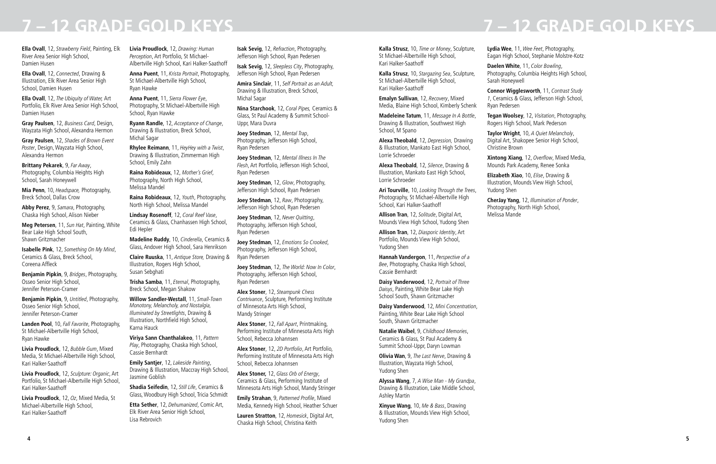**Ella Ovall**, 12, *Strawberry Field*, Painting, Elk River Area Senior High School, Damien Husen

**Ella Ovall**, 12, *Connected*, Drawing & Illustration, Elk River Area Senior High School, Damien Husen

**Ella Ovall**, 12, *The Ubiquity of Water,* Art Portfolio, Elk River Area Senior High School, Damien Husen

**Gray Paulsen**, 12, *Business Card*, Design, Wayzata High School, Alexandra Hermon

**Gray Paulsen**, 12, *Shades of Brown Event Poster*, Design, Wayzata High School, Alexandra Hermon

**Brittany Pekarek**, 9, *Far Away*, Photography, Columbia Heights High School, Sarah Honeywell

**Mia Penn**, 10, *Headspace,* Photography, Breck School, Dallas Crow

**Abby Perez**, 9, *Samara*, Photography, Chaska High School, Alison Nieber

**Meg Petersen**, 11, *Sun Hat*, Painting, White Bear Lake High School South, Shawn Gritzmacher

**Isabelle Pink**, 12, *Something On My Mind*, Ceramics & Glass, Breck School, Coreena Affleck

**Benjamin Pipkin**, 9, *Bridges*, Photography, Osseo Senior High School, Jennifer Peterson-Cramer

**Benjamin Pipkin**, 9, *Untitled*, Photography, Osseo Senior High School, Jennifer Peterson-Cramer

**Landen Pool**, 10, *Fall Favorite*, Photography, St Michael-Albertville High School, Ryan Hawke

**Livia Proudlock**, 12, *Bubble Gum*, Mixed Media, St Michael-Albertville High School, Kari Halker-Saathoff

**Livia Proudlock**, 12, *Sculpture: Organic*, Art Portfolio, St Michael-Albertville High School, Kari Halker-Saathoff

**Livia Proudlock**, 12, *Oz*, Mixed Media, St Michael-Albertville High School, Kari Halker-Saathoff

**Livia Proudlock**, 12, *Drawing: Human Perception*, Art Portfolio, St Michael-Albertville High School, Kari Halker-Saathoff

**Anna Puent**, 11, *Krista Portrait*, Photography, St Michael-Albertville High School, Ryan Hawke

**Anna Puent**, 11, *Sierra Flower Eye*, Photography, St Michael-Albertville High School, Ryan Hawke

**Ryann Randle**, 12, *Acceptance of Change*, Drawing & Illustration, Breck School, Michal Sagar

**Rhylee Reimann**, 11, *HeyHey with a Twist*, Drawing & Illustration, Zimmerman High School, Emily Zahn

**Raina Robideaux**, 12, *Mother's Grief*, Photography, North High School, Melissa Mandel

**Raina Robideaux**, 12, *Youth*, Photography, North High School, Melissa Mandel

**Lindsay Rosenoff**, 12, *Coral Reef Vase*, Ceramics & Glass, Chanhassen High School, Edi Hepler

**Madeline Ruddy**, 10, *Cinderella*, Ceramics & Glass, Andover High School, Sara Henrikson

**Claire Ruuska**, 11, *Antique Store,* Drawing & Illustration, Rogers High School, Susan Sebghati

**Trisha Samba**, 11, *Eternal*, Photography, Breck School, Megan Shakow

**Willow Sandler-Westall**, 11, *Small-Town Monotony, Melancholy, and Nostalgia, Illuminated by Streetlights*, Drawing & Illustration, Northfield High School, Karna Hauck

**Viriya Sann Chanthalakeo**, 11, *Pattern Play*, Photography, Chaska High School, Cassie Bernhardt

**Emily Santjer**, 12, *Lakeside Painting*, Drawing & Illustration, Maccray High School, Jasmine Goblish

**Shadia Seifedin**, 12, *Still Life*, Ceramics & Glass, Woodbury High School, Tricia Schmidt

**Etta Sether**, 12, *Dehumanized*, Comic Art, Elk River Area Senior High School, Lisa Rebrovich

**Isak Sevig**, 12, *Refraction*, Photography, Jefferson High School, Ryan Pedersen

**Isak Sevig**, 12, *Sleepless City*, Photography, Jefferson High School, Ryan Pedersen

**Amira Sinclair**, 11, *Self Portrait as an Adult,* Drawing & Illustration, Breck School, Michal Sagar

**Nina Starchook**, 12, *Coral Pipes,* Ceramics & Glass, St Paul Academy & Summit School-Uppr, Mara Duvra

**Joey Stedman**, 12, *Mental Trap*, Photography, Jefferson High School, Ryan Pedersen

**Joey Stedman**, 12, *Mental Illness In The Flesh*, Art Portfolio, Jefferson High School, Ryan Pedersen

**Joey Stedman**, 12, *Glow*, Photography, Jefferson High School, Ryan Pedersen

**Joey Stedman**, 12, *Raw*, Photography, Jefferson High School, Ryan Pedersen

**Joey Stedman**, 12, *Never Quitting*, Photography, Jefferson High School, Ryan Pedersen

**Joey Stedman**, 12, *Emotions So Crooked*, Photography, Jefferson High School, Ryan Pedersen

**Joey Stedman**, 12, *The World: Now In Color*, Photography, Jefferson High School, Ryan Pedersen

**Alex Stoner**, 12, *Steampunk Chess Contrivance*, Sculpture, Performing Institute of Minnesota Arts High School, Mandy Stringer

**Alex Stoner**, 12, *Fall Apart*, Printmaking, Performing Institute of Minnesota Arts High School, Rebecca Johannsen

**Alex Stoner**, 12, *2D Portfolio*, Art Portfolio, Performing Institute of Minnesota Arts High School, Rebecca Johannsen

**Alex Stoner,** 12, *Glass Orb of Energy*, Ceramics & Glass, Performing Institute of Minnesota Arts High School, Mandy Stringer

**Emily Strahan**, 9, Patterned Profile, Mixed Media, Kennedy High School, Heather Schuer

**Lauren Stratton**, 12, *Homesick*, Digital Art, Chaska High School, Christina Keith

**Kalla Strusz**, 10, *Time or Money*, Sculpture, St Michael-Albertville High School, Kari Halker-Saathoff

**Kalla Strusz**, 10, *Stargazing Sea*, Sculpture, St Michael-Albertville High School, Kari Halker-Saathoff

**Emalyn Sullivan**, 12, *Recovery*, Mixed Media, Blaine High School, Kimberly Schenk

**Madeleine Tatum**, 11, *Message In A Bottle*, Drawing & Illustration, Southwest High School, M Spano

**Alexa Theobald**, 12, *Depression,* Drawing & Illustration, Mankato East High School, Lorrie Schroeder

**Alexa Theobald**, 12, *Silence*, Drawing & Illustration, Mankato East High School, Lorrie Schroeder

**Ari Tourville**, 10, *Looking Through the Trees*, Photography, St Michael-Albertville High School, Kari Halker-Saathoff

**Allison Tran**, 12, *Solitude*, Digital Art, Mounds View High School, Yudong Shen

**Allison Tran**, 12, *Diasporic Identity*, Art Portfolio, Mounds View High School, Yudong Shen

**Hannah Vandergon**, 11, *Perspective of a Bee*, Photography, Chaska High School, Cassie Bernhardt

**Daisy Vanderwood**, 12, *Portrait of Three Daisys*, Painting, White Bear Lake High School South, Shawn Gritzmacher

**Daisy Vanderwood**, 12, *Mini Concentration*, Painting, White Bear Lake High School South, Shawn Gritzmacher

**Natalie Waibel**, 9, *Childhood Memories*, Ceramics & Glass, St Paul Academy & Summit School-Uppr, Daryn Lowman

**Olivia Wan**, 9, *The Last Nerve*, Drawing & Illustration, Wayzata High School, Yudong Shen

**Alyssa Wang**, 7, *A Wise Man - My Grandpa*, Drawing & Illustration, Lake Middle School, Ashley Martin

**Xinyue Wang**, 10, *Me & Bass*, Drawing & Illustration, Mounds View High School, Yudong Shen

**Lydia Wee**, 11, *Wee Feet*, Photography, Eagan High School, Stephanie Molstre-Kotz

**Daelen White**, 11, *Color Bowling*, Photography, Columbia Heights High School,

Sarah Honeywell **Connor Wigglesworth**, 11, *Contrast Study 1*, Ceramics & Glass, Jefferson High School,

Ryan Pedersen

**Tegan Woolsey**, 12, *Visitation*, Photography, Rogers High School, Mark Pederson

**Taylor Wright**, 10, *A Quiet Melancholy*, Digital Art, Shakopee Senior High School,

Christine Brown

**Xintong Xiang**, 12, Overflow, Mixed Media, Mounds Park Academy, Renee Sonka

**Elizabeth Xiao**, 10, *Elise*, Drawing & Illustration, Mounds View High School,

Yudong Shen

**CherJay Yang**, 12, *Illumination of Ponder*, Photography, North High School, Melissa Mande

## **7 – 12 GRADE GOLD KEYS 7 – 12 GRADE GOLD KEYS**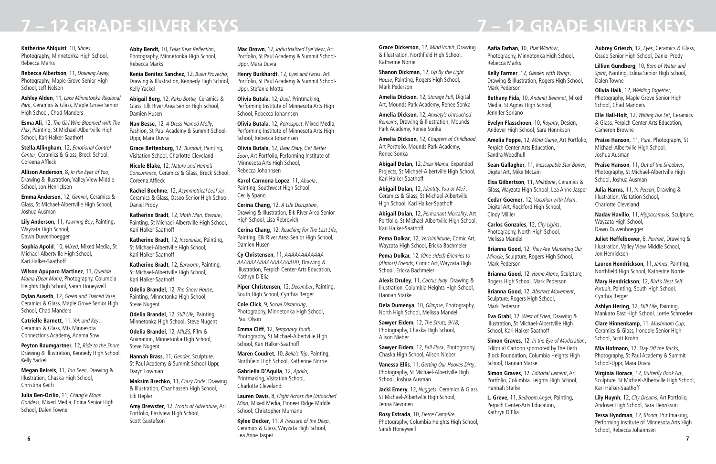## **7 – 12 GRADE SILVER KEYS 7 – 12 GRADE SILVER KEYS**

**Katherine Ahlquist**, 10, *Shoes*, Photography, Minnetonka High School, Rebecca Marks

**Rebecca Albertson**, 11, *Draining Away,* Photography, Maple Grove Senior High School, Jeff Nelson

**Ashley Alden**, 11, *Lake Minnetonka Regional Park*, Ceramics & Glass, Maple Grove Senior High School, Chad Manders

**Esma Ali**, 12, *The Girl Who Bloomed with The Flax*, Painting, St Michael-Albertville High School, Kari Halker-Saathoff

**Stella Allingham**, 12, *Emotional Control Center*, Ceramics & Glass, Breck School, Coreena Affleck

**Allison Anderson**, 8, *In the Eyes of You*, Drawing & Illustration, Valley View Middle School, Jon Henricksen

**Emma Anderson**, 12, *Gemini*, Ceramics & Glass, St Michael-Albertville High School, Joshua Ausman

**Lily Anderson**, 11, *Yawning Boy*, Painting, Wayzata High School, Dawn Duwenhoegger

**Sophia Apold**, 10, *Mixed*, Mixed Media, St Michael-Albertville High School, Kari Halker-Saathoff

**Wilson Apuparo Martinez**, 11, *Querida Mama (Dear Mom)*, Photography, Columbia Heights High School, Sarah Honeywell

**Dylan Auseth**, 12, *Green and Stained Vase,* Ceramics & Glass, Maple Grove Senior High School, Chad Manders

**Catrielle Barnett**, 11, *Yek and Key*, Ceramics & Glass, Mts Minnesota Connections Academy, Adama Sow

**Peyton Baumgartner**, 12, *Ride to the Shore*, Drawing & Illustration, Kennedy High School, Kelly Yackel

**Megan Beireis**, 11, *Too Seen*, Drawing & Illustration, Chaska High School, Christina Keith

**Julia Ben-Ozilio**, 11, *Chang'e Moon Goddess*, Mixed Media, Edina Senior High School, Dalen Towne

**Abby Bendt,** 10, Polar Bear Reflection, Photography, Minnetonka High School, Rebecca Marks

**Kenia Benitez Sanchez**, 12, *Buen Provecho*, Drawing & Illustration, Kennedy High School, Kelly Yackel

**Abigail Berg**, 12, *Raku Bottle,* Ceramics & Glass, Elk River Area Senior High School, Damien Husen

**Nan Besse**, 12, *A Dress Named Molly*, Fashion, St Paul Academy & Summit School-Uppr, Mara Duvra

**Grace Bettenburg**, 12, *Burnout*, Painting, Visitation School, Charlotte Cleveland

**Nicole Blake**, 12, *Nature and Home's Concurrence*, Ceramics & Glass, Breck School, Coreena Affleck

**Rachel Boehme**, 12, *Asymmetrical Leaf Jar*, Ceramics & Glass, Osseo Senior High School, Daniel Prody

**Katherine Bradt**, 12, *Moth Man, Beware*, Painting, St Michael-Albertville High School, Kari Halker-Saathoff

**6 7 Kylee Decker**, 11, *A Treasure of the Deep*, Ceramics & Glass, Wayzata High School, Lea Anne Jasper

**Katherine Bradt**, 12, *Insomniac*, Painting, St Michael-Albertville High School, Kari Halker-Saathoff

**Katherine Bradt**, 12, *Earworm*, Painting, St Michael-Albertville High School, Kari Halker-Saathoff

**Odelia Brandel**, 12, *The Snow House*, Painting, Minnetonka High School, Steve Nugent

**Odelia Brandel**, 12, *Still Life,* Painting, Minnetonka High School, Steve Nugent

**Odelia Brandel**, 12, *MILES*, Film & Animation, Minnetonka High School, Steve Nugent

**Hannah Brass**, 11, *Gender*, Sculpture, St Paul Academy & Summit School-Uppr, Daryn Lowman

**Maksim Brechko**, 11, *Crazy Dude*, Drawing & Illustration, Chanhassen High School, Edi Hepler

**Amy Brewster**, 12, *Fronts of Adventure*, Art Portfolio, Eastview High School, Scott Gustafson

**Mac Brown**, 12, *Industrialized Eye View*, Art Portfolio, St Paul Academy & Summit School-Uppr, Mara Duvra

**Henry Burkhardt**, 12, *Eyes and Faces*, Art Portfolio, St Paul Academy & Summit School-Uppr, Stefanie Motta

**Olivia Butala**, 12, *Duel*, Printmaking, Performing Institute of Minnesota Arts High School, Rebecca Johannsen

**Olivia Butala**, 12, *Retrospect*, Mixed Media, Performing Institute of Minnesota Arts High School, Rebecca Johannsen

**Olivia Butala**, 12, *Dear Diary, Get Better Soon*, Art Portfolio, Performing Institute of Minnesota Arts High School, Rebecca Johannsen

**Karol Carmona Lopez**, 11, *Abuela*, Painting, Southwest High School, Cecily Spano

**Cerina Chang**, 12, *A Life Disruption*, Drawing & Illustration, Elk River Area Senior High School, Lisa Rebrovich

**Cerina Chang**, 12, *Reaching For The Last Life*, Painting, Elk River Area Senior High School, Damien Husen

**Cy Christensen**, 11, *AAAAAAAAAAAA AAAAAAAAAAAAAAAAAHH*, Drawing & Illustration, Perpich Center-Arts Education, Kathryn D'Elia

**Piper Christensen**, 12, *December*, Painting, South High School, Cynthia Berger

**Cole Click**, 9, *Social Distancing*, Photography, Minnetonka High School, Paul Olson

**Emma Cliff**, 12, *Temporary Youth*, Photography, St Michael-Albertville High School, Kari Halker-Saathoff

**Maren Coudret**, 10, *Bella's Trip*, Painting, Northfield High School, Katherine Norrie

**Gabriella D'Aquila**, 12, *Apollo*, Printmaking, Visitation School, Charlotte Cleveland

**Lauren Davis**, 8, *Flight Across the Untouched Mind*, Mixed Media, Pioneer Ridge Middle School, Christopher Murnane

**Grace Dickerson**, 12, *Mind Vomit*, Drawing & Illustration, Northfield High School, Katherine Norrie

**Shanon Dickman**, 12, *Up By the Light House*, Painting, Rogers High School, Mark Pederson

**Amelia Dickson**, 12, *Storage Full*, Digital Art, Mounds Park Academy, Renee Sonka

**Amelia Dickson**, 12, *Anxiety's Untouched Remains*, Drawing & Illustration, Mounds Park Academy, Renee Sonka

**Amelia Dickson**, 12, *Chapters of Childhood*, Art Portfolio, Mounds Park Academy, Renee Sonka

**Abigail Dolan**, 12, *Dear Mama*, Expanded Projects, St Michael-Albertville High School, Kari Halker-Saathoff

**Abigail Dolan**, 12, *Identity. You or Me?*, Ceramics & Glass, St Michael-Albertville High School, Kari Halker-Saathoff

**Abigail Dolan**, 12, *Permanant Mortality*, Art Portfolio, St Michael-Albertville High School, Kari Halker-Saathoff

**Pema Dolkar**, 12, *Verisimilitude*, Comic Art, Wayzata High School, Ericka Bachmeier

**Pema Dolkar,** 12, *(One-sided) Enemies to (Almost) Friends*, Comic Art, Wayzata High School, Ericka Bachmeier

**Alexis Druley**, 11, *Cactus Judy*, Drawing & Illustration, Columbia Heights High School, Hannah Starke

**Dela Dumenya**, 10, *Glimpse*, Photography, North High School, Melissa Mandel

**Sawyer Eidem**, 12, *The Struts, 9/18*, Photography, Chaska High School, Alison Nieber

**Sawyer Eidem**, 12, *Fall Flora*, Photography, Chaska High School, Alison Nieber

**Vanessa Ellis**, 11, *Getting Our Hooves Dirty*, Photography, St Michael-Albertville High School, Joshua Ausman

**Jacki Emery**, 12, *Nuggets*, Ceramics & Glass, St Michael-Albertville High School, Jenna Nevonen

**Rosy Estrada**, 10, Fierce Campfire, Photography, Columbia Heights High School, Sarah Honeywell

**Aafia Farhan**, 10, *That Window*, Photography, Minnetonka High School, Rebecca Marks

**Kelly Farmer**, 12, *Garden with Wings*, Drawing & Illustration, Rogers High School, Mark Pederson

**Bethany Fida**, 10, *Andinet Beimnet*, Mixed Media, St Agnes High School, Jennifer Soriano

**Evelyn Flasschoen**, 10, *Royalty*, Design, Andover High School, Sara Henrikson

**Amelia Foppe**, 12, *Mind Game*, Art Portfolio, Perpich Center-Arts Education, Sandra Woodhull

**Sean Gallagher**, 11, *Inescapable Star Bones*, Digital Art, Mike McLain

**Elsa Gilbertson**, 11, *MilkBone*, Ceramics & Glass, Wayzata High School, Lea Anne Jasper

**Cedar Goemer**, 12, *Vacation with Mom*, Digital Art, Rockford High School, Cindy Milller

**Carlos Gonzales**, 12, *City Lights*, Photography, North High School, Melissa Mandel

**Brianna Good**, 12, *They Are Marketing Our Miracle*, Sculpture, Rogers High School,

Mark Pederson

**Brianna Good**, 12, *Home Alone*, Sculpture, Rogers High School, Mark Pederson

**Brianna Good**, 12, *Abstract Movement*, Sculpture, Rogers High School, Mark Pederson

**Eva Grahl**, 12, *West of Eden,* Drawing & Illustration, St Michael-Albertville High School, Kari Halker-Saathoff

**Simon Graves**, 12, *In the Eye of Moderation*, Editorial Cartoon sponsored by The Herb Block Foundation, Columbia Heights High School, Hannah Starke

**Simon Graves**, 12, *Editorial Lament*, Art Portfolio, Columbia Heights High School, Hannah Starke

**L. Greve**, 11, *Bedroom Angel*, Painting,

Perpich Center-Arts Education, Kathryn D'Elia

**Aubrey Griesch**, 12, *Eyes*, Ceramics & Glass, Osseo Senior High School, Daniel Prody

**Lillian Gundberg**, 10, *Born of Water and Spirit*, Painting, Edina Senior High School, Dalen Towne

**Olivia Haik**, 12, *Welding Together*, Photography, Maple Grove Senior High School, Chad Manders

**Elle Hall-Holt**, 12, *Wilting Tea Set*, Ceramics & Glass, Perpich Center-Arts Education, Cameron Browne

**Praise Hanson,** 11, *Pure*, Photography, St Michael-Albertville High School, Joshua Ausman

**Praise Hanson**, 11, *Out of the Shadows*, Photography, St Michael-Albertville High School, Joshua Ausman

**Julia Harms**, 11, *In-Person*, Drawing & Illustration, Visitation School, Charlotte Cleveland

**Nadav Havilio**, 11, *Hippocampus*, Sculpture, Wayzata High School, Dawn Duwenhoegger

**Juliet Heffelbower**, 8, *Portrait*, Drawing & Illustration, Valley View Middle School, Jon Henricksen

**Lauren Hendrickson**, 11, *James*, Painting, Northfield High School, Katherine Norrie

**Mary Hendrickson**, 12, *Bird's Nest Self Portrait*, Painting, South High School, Cynthia Berger

**Ashlyn Hering**, 12, *Still Life*, Painting, Mankato East High School, Lorrie Schroeder

**Clare Hinnenkamp**, 11, *Mushroom Cup*, Ceramics & Glass, Irondale Senior High School, Scott Krohn

**Mia Hofmann**, 12, *Stay Off the Tracks*, Photography, St Paul Academy & Summit School-Uppr, Mara Duvra

**Virginia Horace**, 12, Butterfly Book Art, Sculpture, St Michael-Albertville High School, Kari Halker-Saathoff

**Lily Huynh**, 12, *City Dreams*, Art Portfolio, Andover High School, Sara Henrikson

**Tessa Hyndman**, 12, *Bloom*, Printmaking, Performing Institute of Minnesota Arts High School, Rebecca Johannsen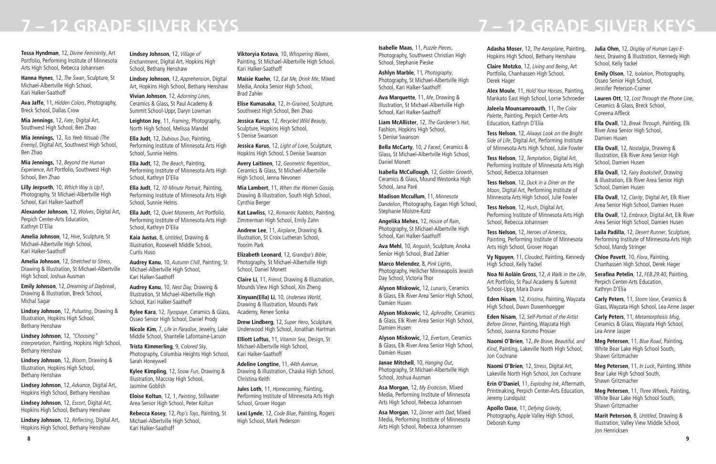## **7 – 12 GRADE SILVER KEYS 7 – 12 GRADE SILVER KEYS**

**Tessa Hyndman**, 12, *Divine Femininity*, Art Portfolio, Performing Institute of Minnesota Arts High School, Rebecca Johannsen

**Hanna Hynes**, 12, *The Swan*, Sculpture, St Michael-Albertville High School, Kari Halker-Saathoff

**Ava Jaffe**, 11, *Hidden Colors*, Photography, Breck School, Dallas Crow

**Mia Jennings**, 12, *Fate*, Digital Art, Southwest High School, Ben Zhao

**Mia Jennings,** 12, *Tus Yeeb Ntsuab (The Enemy)*, Digital Art, Southwest High School, Ben Zhao

**Mia Jennings,** 12, *Beyond the Human Experience*, Art Portfolio, Southwest High School, Ben Zhao

**Lilly Jerpseth**, 10, *Which Way is Up?*, Photography, St Michael-Albertville High School, Kari Halker-Saathoff

**Alexander Johnson**, 12, *Wolves*, Digital Art, Perpich Center-Arts Education, Kathryn D'Elia

**Amelia Johnson**, 12, *Hive*, Sculpture, St Michael-Albertville High School, Kari Halker-Saathoff

**Amelia Johnson**, 12, *Stretched to Stress*, Drawing & Illustration, St Michael-Albertville High School, Joshua Ausman

**Emily Johnson**, 12, *Dreaming of Daybreak*, Drawing & Illustration, Breck School, Michal Sagar

**Lindsey Johnson**, 12, *Pulsating*, Drawing & Illustration, Hopkins High School, Bethany Henshaw

**Lindsey Johnson**, 12, *"Choosing" Interpretation*, Painting, Hopkins High School, Bethany Henshaw

**Lindsey Johnson**, 12, *Bloom*, Drawing & Illustration, Hopkins High School, Bethany Henshaw

**Lindsey Johnson**, 12, *Advance*, Digital Art, Hopkins High School, Bethany Henshaw

**Lindsey Johnson**, 12, *Escort*, Digital Art, Hopkins High School, Bethany Henshaw

**Lindsey Johnson**, 12, Reflecting, Digital Art, Hopkins High School, Bethany Henshaw

**Lindsey Johnson**, 12, *Village of Enchantment*, Digital Art, Hopkins High School, Bethany Henshaw

**Lindsey Johnson**, 12, *Apprehension*, Digital Art, Hopkins High School, Bethany Henshaw

**Vivian Johnson**, 12, *Adorning Lines*, Ceramics & Glass, St Paul Academy & Summit School-Uppr, Daryn Lowman

**Leighton Joy**, 11, *Framing*, Photography, North High School, Melissa Mandel

**Ella Judt**, 12, *Dubious Duo*, Painting, Performing Institute of Minnesota Arts High School, Sunnie Helms

**Ella Judt**, 12, *The Beach*, Painting, Performing Institute of Minnesota Arts High School, Kathryn D'Elia

**Ella Judt**, 12, *10 Minute Portrait*, Painting, Performing Institute of Minnesota Arts High School, Sunnie Helms

**Ella Judt**, 12, *Quiet Moments*, Art Portfolio, Performing Institute of Minnesota Arts High School, Kathryn D'Elia

**Kaia Justus**, 8, *Untitled*, Drawing & Illustration, Roosevelt Middle School, Curtis Huso

**Audrey Kanu**, 10, *Autumn Chill*, Painting, St Michael-Albertville High School, Kari Halker-Saathoff

**Audrey Kanu**, 10, *Nest Day,* Drawing & Illustration, St Michael-Albertville High School, Kari Halker-Saathoff

**Rylee Kara**, 12, *Tiyospaye*, Ceramics & Glass, Osseo Senior High School, Daniel Prody

**Nicole Kim**, 7, *Life in Paradise*, Jewelry, Lake Middle School, Shantelle Lafontaine-Larson

**Trista Kimmerling**, 9, *Colored Sky*, Photography, Columbia Heights High School, Sarah Honeywell

**Kylee Kimpling**, 12, *Snow Fun*, Drawing & Illustration, Maccray High School, Jasmine Goblish

**Eloise Koltun**, 12, 1, *Painting*, Stillwater Area Senior High School, Peter Koltun

**Rebecca Kosey**, 12, *Pop's Toys*, Painting, St Michael-Albertville High School, Kari Halker-Saathoff

**Viktoryia Kotava**, 10, *Whispering Waves*, Painting, St Michael-Albertville High School, Kari Halker-Saathoff

**Maisie Kuehn**, 12, *Eat Me, Drink Me*, Mixed Media, Anoka Senior High School, Brad Zahler

**Elise Kumasaka**, 12, *In-Grained*, Sculpture, Southwest High School, Ben Zhao

**Jessica Kurus**, 12, *Recycled Wild Beauty*, Sculpture, Hopkins High School, S Denise Swanson

**Jessica Kurus**, 12, *Light of Love*, Sculpture, Hopkins High School, S Denise Swanson

**Avery Laitinen**, 12, *Geometric Repetition*, Ceramics & Glass, St Michael-Albertville High School, Jenna Nevonen

**Mia Lambert**, 11, *When the Women Gossip,* Drawing & Illustration, South High School, Cynthia Berger

**Kat Lawliss**, 12, *Romantic Rabbits*, Painting, Zimmerman High School, Emily Zahn

**Andrew Lee**, 11, *Airplane*, Drawing & Illustration, St Croix Lutheran School, Yoorim Park

**Elizabeth Leonard**, 12, *Grandpa's Bible*, Photography, St Michael-Albertville High School, Daniel Monett

**Claire Li**, 11, *Friend*, Drawing & Illustration, Mounds View High School, Xin Zheng

**Xinyuan(Ella) Li**, 10, *Undersea World*, Drawing & Illustration, Mounds Park Academy, Renee Sonka

**Drew Lindberg**, 12, *Super Hero*, Sculpture, Underwood High School, Jonathan Hartman

**Elliott Loftus**, 11, *Vitamin Sea*, Design, St Michael-Albertville High School, Kari Halker-Saathoff

**Adeline Longtine**, 11, *44th Avenue*, Drawing & Illustration, Chaska High School, Christina Keith

**Jules Loth**, 11, *Homecoming*, Painting, Performing Institute of Minnesota Arts High School, Grover Hogan

**Lexi Lynde**, 12, *Code Blue*, Painting, Rogers High School, Mark Pederson

**Isabelle Maas**, 11, *Puzzle Pieces*, Photography, Southwest Christian High School, Stephanie Pieske

**Ashlyn Marble**, 11*, Photography*, Photography, St Michael-Albertville High School, Kari Halker-Saathoff

**Ava Marquette**, 11, *Me*, Drawing & Illustration, St Michael-Albertville High School, Kari Halker-Saathoff

**Liam McAllister**, 12, *The Gardener's Hat*, Fashion, Hopkins High School, S Denise Swanson

**Bella McCarty**, 10, *2 Faced*, Ceramics & Glass, St Michael-Albertville High School, Daniel Monett

**Isabella McCullough**, 12, *Golden Growth*, Ceramics & Glass, Mound Westonka High School, Jana Paré

**Madison Mccullum**, 11, *Minnesota Dandelion*, Photography, Eagan High School, Stephanie Molstre-Kotz

**Angelika Mehes**, 12, *House of Rain*, Photography, St Michael-Albertville High School, Kari Halker-Saathoff

**Ava Mehl**, 10, *Anguish*, Sculpture, Anoka Senior High School, Brad Zahler

**Marco Melendez**, 8, *Pink Lights*, Photography, Heilicher Minneapolis Jewish Day School, Victoria Thor

**Alyson Miskowic**, 12, *Lunaris*, Ceramics & Glass, Elk River Area Senior High School, Damien Husen

**Alyson Miskowic**, 12, *Aphrodite*, Ceramics & Glass, Elk River Area Senior High School, Damien Husen

**Alyson Miskowic**, 12, *Everturn*, Ceramics & Glass, Elk River Area Senior High School, Damien Husen

**Janae Mitchell**, 10, *Hanging Out*, Photography, St Michael-Albertville High School, Joshua Ausman

**Asa Morgan**, 12, *My Eroticism*, Mixed Media, Performing Institute of Minnesota Arts High School, Rebecca Johannsen

**Asa Morgan**, 12, *Dinner with Dad*, Mixed Media, Performing Institute of Minnesota Arts High School, Rebecca Johannsen

**Adasha Moser**, 12, *The Aeroplane*, Painting, Hopkins High School, Bethany Henshaw

**Claire Motzko**, 12, *Living and Being*, Art Portfolio, Chanhassen High School, Derek Hager

**Alex Moule**, 11, *Hold Your Horses*, Painting, Mankato East High School, Lorrie Schroeder

**Jaleela Mounsamroauth**, 11, *The Color Palette*, Painting, Perpich Center-Arts Education, Kathryn D'Elia

**Tess Nelson**, 12, *Always Look on the Bright Side of Life*, Digital Art, Performing Institute of Minnesota Arts High School, Julie Fowler

**Tess Nelson**, 12, *Temptation*, Digital Art, Performing Institute of Minnesota Arts High School, Rebecca Johannsen

**Tess Nelson**, 12, *Duck in a Diner on the Moon*, Digital Art, Performing Institute of Minnesota Arts High School, Julie Fowler

**Tess Nelson**, 12, *Hush*, Digital Art, Performing Institute of Minnesota Arts High School, Rebecca Johannsen

**Tess Nelson**, 12, *Heroes of America*, Painting, Performing Institute of Minnesota Arts High School, Grover Hogan

**Vy Nguyen**, 11, *Clouded*, Painting, Kennedy High School, Kelly Yackel

**Noa Ní Aoláin Gross**, 12, *A Walk in the Life*, Art Portfolio, St Paul Academy & Summit School-Uppr, Mara Duvra

**Eden Nisam**, 12, *Kristina*, Painting, Wayzata High School, Dawn Duwenhoegger

**Eden Nisam**, 12, *Self-Portrait of the Artist Before Dinner*, Painting, Wayzata High School, Joanna Korsmo Prosser

**Naomi O'Brien**, 12, *Be Brave, Beautiful, and Kind*, Painting, Lakeville North High School, Jon Cochrane

**Naomi O'Brien**, 12, *Stress*, Digital Art, Lakeville North High School, Jon Cochrane

**Erin O'Daniel**, 11, *Exploding Ink*, Aftermath, Printmaking, Perpich Center-Arts Education, Jeremy Lundquist

**Apollo Oase**, 11, *Defying Gravity*, Photography, Apple Valley High School, Deborah Kump

**Julia Ohm**, 12, *Display of Human Lays-E-Ness*, Drawing & Illustration, Kennedy High School, Kelly Yackel

**Emily Olson**, 12, *Isolation*, Photography, Osseo Senior High School, Jennifer Peterson-Cramer

**Lauren Ott**, 12, *Lost Through the Phone Line*, Ceramics & Glass, Breck School, Coreena Affleck

**Ella Ovall**, 12, *Break Through*, Painting, Elk River Area Senior High School, Damien Husen

**Ella Ovall**, 12, *Nostalgia*, Drawing & Illustration, Elk River Area Senior High School, Damien Husen

**Ella Ovall**, 12, *Fairy Bookshelf*, Drawing & Illustration, Elk River Area Senior High School, Damien Husen

**Ella Ovall**, 12, *Clarity*, Digital Art, Elk River Area Senior High School, Damien Husen

**Ella Ovall**, 12, *Embrace*, Digital Art, Elk River Area Senior High School, Damien Husen

**Laila Padilla**, 12, *Desert Runner*, Sculpture, Performing Institute of Minnesota Arts High School, Mandy Stringer

**Chloe Pavett**, 10, *Flora*, Painting, Chanhassen High School, Derek Hager

**Serafina Petelin**, 12, *FEB.29.40*, Painting, Perpich Center-Arts Education, Kathryn D'Elia

**Carly Peters**, 11, *Storm Vase*, Ceramics & Glass, Wayzata High School, Lea Anne Jasper

**Carly Peters**, 11, *Metamorphosis Mug*, Ceramics & Glass, Wayzata High School, Lea Anne Jasper

**Meg Petersen**, 11, *Blue Road*, Painting, White Bear Lake High School South, Shawn Gritzmacher

**Meg Petersen**, 11, *In Luck*, Painting, White Bear Lake High School South, Shawn Gritzmacher

**Meg Petersen**, 11, *Three Wheels*, Painting, White Bear Lake High School South, Shawn Gritzmacher

**Marit Peterson**, 8, *Untitled*, Drawing & Illustration, Valley View Middle School, Jon Henricksen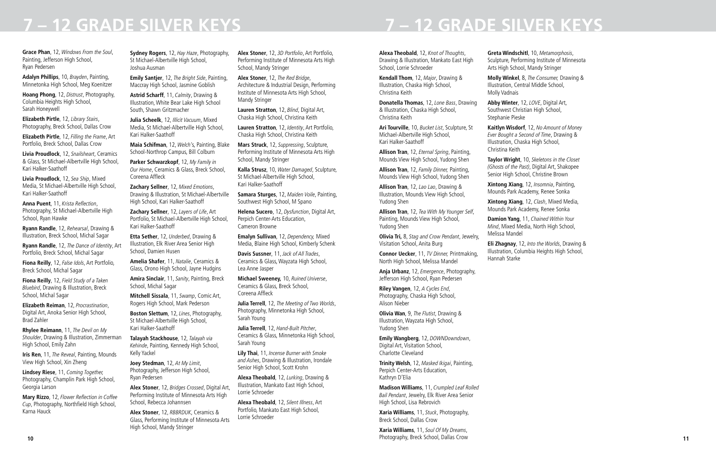### **Grace Phan**, 12, *Windows From the Soul*, Painting, Jefferson High School, Ryan Pedersen

**Adalyn Phillips**, 10, *Brayden*, Painting, Minnetonka High School, Meg Koenitzer

**Hoang Phong**, 12, *Distrust*, Photography, Columbia Heights High School, Sarah Honeywell

**Elizabeth Pirtle**, 12, *Library Stairs*, Photography, Breck School, Dallas Crow

**Elizabeth Pirtle**, 12, *Filling the Frame*, Art Portfolio, Breck School, Dallas Crow

**Livia Proudlock**, 12, *Snailsheart*, Ceramics & Glass, St Michael-Albertville High School, Kari Halker-Saathoff

**Livia Proudlock**, 12, *Sea Ship*, Mixed Media, St Michael-Albertville High School, Kari Halker-Saathoff

**Anna Puent**, 11, Krista Reflection, Photography, St Michael-Albertville High School, Ryan Hawke

**Ryann Randle**, 12, *Rehearsal*, Drawing & Illustration, Breck School, Michal Sagar

**Ryann Randle**, 12, *The Dance of Identity*, Art Portfolio, Breck School, Michal Sagar

**Fiona Reilly**, 12, *False Idols*, Art Portfolio, Breck School, Michal Sagar

**Fiona Reilly**, 12, *Field Study of a Taken Bluebird*, Drawing & Illustration, Breck School, Michal Sagar

**Elizabeth Reiman**, 12, *Procrastination*, Digital Art, Anoka Senior High School, Brad Zahler

**Rhylee Reimann**, 11, *The Devil on My Shoulder*, Drawing & Illustration, Zimmerman High School, Emily Zahn

**Iris Ren**, 11, *The Reveal*, Painting, Mounds View High School, Xin Zheng

**Lindsey Riese**, 11, *Coming Together,* Photography, Champlin Park High School, Georgia Larson

**Mary Rizzo**, 12, Flower Reflection in Coffee *Cup*, Photography, Northfield High School, Karna Hauck

**Sydney Rogers**, 12, *Hay Haze*, Photography, St Michael-Albertville High School, Joshua Ausman

**Emily Santjer**, 12, *The Bright Side*, Painting, Maccray High School, Jasmine Goblish

**Astrid Scharff**, 11, *Calmity*, Drawing & Illustration, White Bear Lake High School South, Shawn Gritzmacher

**Julia Scheelk**, 12, *Illicit Vacuum*, Mixed Media, St Michael-Albertville High School, Kari Halker-Saathoff

**Maia Schifman**, 12, *Welch'*s, Painting, Blake School-Northrop Campus, Bill Colburn

**Parker Schwarzkopf**, 12, *My Family in Our Home*, Ceramics & Glass, Breck School, Coreena Affleck

**Zachary Sellner**, 12, *Mixed Emotions*, Drawing & Illustration, St Michael-Albertville High School, Kari Halker-Saathoff

**Zachary Sellner**, 12, *Layers of Life*, Art Portfolio, St Michael-Albertville High School, Kari Halker-Saathoff

**Etta Sether**, 12, *Underbed*, Drawing & Illustration, Elk River Area Senior High School, Damien Husen

**Amelia Shafer**, 11, *Natalie*, Ceramics & Glass, Orono High School, Jayne Hudgins

**Amira Sinclair**, 11, *Sanity*, Painting, Breck School, Michal Sagar

**Mitchell Sissala**, 11, *Swamp*, Comic Art, Rogers High School, Mark Pederson

**Boston Slettum**, 12, *Lines*, Photography, St Michael-Albertville High School, Kari Halker-Saathoff

**Talayah Stackhouse**, 12, *Talayah via Kehinde*, Painting, Kennedy High School, Kelly Yackel

**Joey Stedman**, 12, *At My Limit*, Photography, Jefferson High School, Ryan Pedersen

**Alex Stoner**, 12, *Bridges Crossed*, Digital Art, Performing Institute of Minnesota Arts High School, Rebecca Johannsen

**Alex Stoner**, 12, *RBBRDUK*, Ceramics & Glass, Performing Institute of Minnesota Arts High School, Mandy Stringer

**10** • Photography, Breck School, Dallas Crow **11** • Photography, Breck School, Dallas Crow **11 Xaria Williams**, 11, *Soul Of My Dreams*, Photography, Breck School, Dallas Crow

**Alex Stoner**, 12, *3D Portfolio*, Art Portfolio, Performing Institute of Minnesota Arts High School, Mandy Stringer

**Alex Stoner**, 12, *The Red Bridge*, Architecture & Industrial Design, Performing Institute of Minnesota Arts High School, Mandy Stringer

**Lauren Stratton**, 12, *Blind*, Digital Art, Chaska High School, Christina Keith

**Lauren Stratton**, 12, *Identity*, Art Portfolio, Chaska High School, Christina Keith

**Mars Struck**, 12, *Suppressing*, Sculpture, Performing Institute of Minnesota Arts High School, Mandy Stringer

**Kalla Strusz**, 10, *Water Damaged*, Sculpture, St Michael-Albertville High School, Kari Halker-Saathoff

**Samara Sturges**, 12, *Maiden Voile*, Painting, Southwest High School, M Spano

**Helena Sucero**, 12, *Dysfunction*, Digital Art, Perpich Center-Arts Education, Cameron Browne

**Emalyn Sullivan**, 12, *Dependency,* Mixed Media, Blaine High School, Kimberly Schenk

**Davis Sussner**, 11, *Jack of All Trades*, Ceramics & Glass, Wayzata High School, Lea Anne Jasper

**Michael Sweeney,** 10, *Ruined Universe*, Ceramics & Glass, Breck School, Coreena Affleck

**Julia Terrell**, 12, *The Meeting of Two Worlds*, Photography, Minnetonka High School, Sarah Young

**Julia Terrell**, 12, *Hand-Built Pitcher*, Ceramics & Glass, Minnetonka High School, Sarah Young

**Lily Thai**, 11, *Incense Burner with Smoke and Ashes*, Drawing & Illustration, Irondale Senior High School, Scott Krohn

**Alexa Theobald**, 12, *Lurking*, Drawing & Illustration, Mankato East High School, Lorrie Schroeder

**Alexa Theobald**, 12, *Silent Illness*, Art Portfolio, Mankato East High School, Lorrie Schroeder

### **Alexa Theobald**, 12, *Knot of Thoughts*, Drawing & Illustration, Mankato East High School, Lorrie Schroeder

**Kendall Thom**, 12, *Major*, Drawing & Illustration, Chaska High School, Christina Keith

**Donatella Thomas**, 12, *Lone Bass*, Drawing & Illustration, Chaska High School, Christina Keith

**Ari Tourville**, 10, *Bucket List*, Sculpture, St Michael-Albertville High School, Kari Halker-Saathoff

**Allison Tran**, 12, *Eternal Spring*, Painting, Mounds View High School, Yudong Shen

**Allison Tran**, 12, *Family Dinner,* Painting, Mounds View High School, Yudong Shen

**Allison Tran**, 12, *Lao Lao*, Drawing & Illustration, Mounds View High School, Yudong Shen

**Allison Tran**, 12, *Tea With My Younger Self*, Painting, Mounds View High School, Yudong Shen

**Olivia Tri,** 8, *Stag and Crow Pendant*, Jewelry, Visitation School, Anita Burg

**Connor Uecker**, 11, *TV Dinner,* Printmaking, North High School, Melissa Mandel

**Anja Urbanz**, 12, *Emergence*, Photography, Jefferson High School, Ryan Pedersen

**Riley Vangen**, 12, *A Cycles End*, Photography, Chaska High School, Alison Nieber

**Olivia Wan**, 9, *The Flutist*, Drawing & Illustration, Wayzata High School, Yudong Shen

**Emily Wangberg**, 12, *DOWNDowndown*, Digital Art, Visitation School, Charlotte Cleveland

**Trinity Welsh**, 12, *Masked Ikigai*, Painting, Perpich Center-Arts Education, Kathryn D'Elia

**Madison Williams**, 11, *Crumpled Leaf Rolled Bail Pendant*, Jewelry, Elk River Area Senior High School, Lisa Rebrovich

**Xaria Williams**, 11, *Stuck*, Photography, Breck School, Dallas Crow

**Greta Windschitl**, 10, *Metamorphosis*, Sculpture, Performing Institute of Minnesota

# Arts High School, Mandy Stringer

**Molly Winkel**, 8, *The Consumer,* Drawing & Illustration, Central Middle School, Molly Vadnais

**Abby Winter**, 12, *LOVE*, Digital Art, Southwest Christian High School, Stephanie Pieske

**Kaitlyn Wisdorf**, 12, *No Amount of Money Ever Bought a Second of Time*, Drawing &

## Illustration, Chaska High School, Christina Keith

**Taylor Wright**, 10, *Skeletons in the Closet (Ghosts of the Past)*, Digital Art, Shakopee Senior High School, Christine Brown

**Xintong Xiang**, 12, *Insomnia*, Painting, Mounds Park Academy, Renee Sonka

**Xintong Xiang**, 12, *Clash*, Mixed Media, Mounds Park Academy, Renee Sonka

**Damion Yang**, 11, *Chained Within Your Mind*, Mixed Media, North High School, Melissa Mandel

**Eli Zhagnay**, 12, *Into the Worlds*, Drawing & Illustration, Columbia Heights High School,

Hannah Starke

## **7 – 12 GRADE SILVER KEYS 7 – 12 GRADE SILVER KEYS**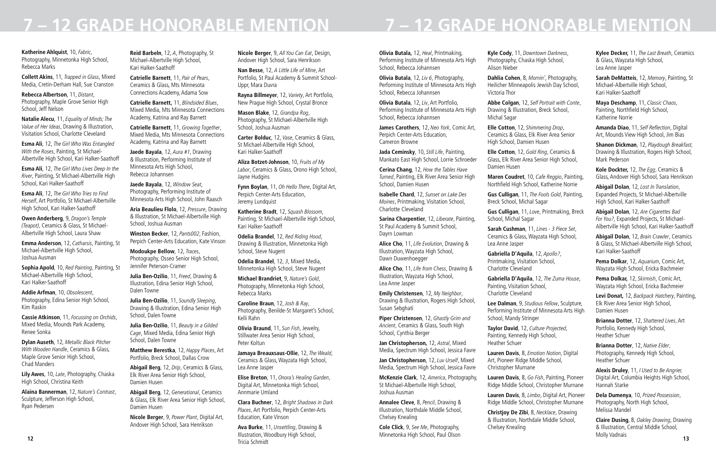**Katherine Ahlquist**, 10, *Fabric*, Photography, Minnetonka High School, Rebecca Marks

**Collett Akins**, 11, *Trapped in Glass*, Mixed Media, Cretin-Derham Hall, Sue Cranston

**Rebecca Albertson**, 11, *Distant*, Photography, Maple Grove Senior High School, Jeff Nelson

**Natalie Alecu**, 11, *Equality of Minds; The Value of Her Ideas*, Drawing & Illustration, Visitation School, Charlotte Cleveland

**Esma Ali**, 12, *The Girl Who Was Entangled With the Roses*, Painting, St Michael-Albertville High School, Kari Halker-Saathoff

**Esma Ali**, 12, *The Girl Who Lives Deep In the River*, Painting, St Michael-Albertville High School, Kari Halker-Saathoff

**Esma Ali**, 12, *The Girl Who Tries to Find Herself*, Art Portfolio, St Michael-Albertville High School, Kari Halker-Saathoff

**Owen Anderberg**, 9, *Dragon's Temple (Teapot)*, Ceramics & Glass, St Michael-Albertville High School, Laura Shaw

**Emma Anderson**, 12, *Catharsis*, Painting, St Michael-Albertville High School, Joshua Ausman

**Sophia Apold**, 10, *Red Painting*, Painting, St Michael-Albertville High School, Kari Halker-Saathoff

**Addie Arfman**, 10, *Obsolescent*, Photography, Edina Senior High School, Kim Raskin

**Cassie Atkinson**, 11, *Focussing on Orchids*, Mixed Media, Mounds Park Academy, Renee Sonka

**Dylan Auseth**, 12, *Metallic Black Pitcher With Wooden Handle*, Ceramics & Glass, Maple Grove Senior High School, Chad Manders

**Lily Awes**, 10, *Late*, Photography, Chaska High School, Christina Keith

**Alaina Bannerman**, 12, *Nature's Contrast*, Sculpture, Jefferson High School, Ryan Pedersen

**Reid Barbeln**, 12, *A*, Photography, St Michael-Albertville High School, Kari Halker-Saathoff

**Catrielle Barnett**, 11, *Pair of Pears*, Ceramics & Glass, Mts Minnesota Connections Academy, Adama Sow

**Catrielle Barnett,** 11, *Blindsided Blues*, Mixed Media, Mts Minnesota Connections Academy, Katrina and Ray Barnett

**Catrielle Barnett**, 11, *Growing Together*, Mixed Media, Mts Minnesota Connections Academy, Katrina and Ray Barnett

**Jaede Bayala**, 12, *Aura #1*, Drawing & Illustration, Performing Institute of Minnesota Arts High School, Rebecca Johannsen

**Jaede Bayala**, 12, *Window Seat*, Photography, Performing Institute of Minnesota Arts High School, John Raasch

**Aria Beaulieu Flolo**, 12, *Pressure*, Drawing & Illustration, St Michael-Albertville High School, Joshua Ausman

**Winston Becker**, 12, *Pants002*, Fashion, Perpich Center-Arts Education, Kate Vinson

**12 13 Ava Burke**, 11, *Unsettling*, Drawing & Illustration, Woodbury High School, Tricia Schmidt

**Modoukpe Bellow**, 12, *Traces*, Photography, Osseo Senior High School, Jennifer Peterson-Cramer

**Julia Ben-Ozilio**, 11, *Freed*, Drawing & Illustration, Edina Senior High School, Dalen Towne

**Julia Ben-Ozilio**, 11, *Soundly Sleeping*, Drawing & Illustration, Edina Senior High School, Dalen Towne

**Julia Ben-Ozilio**, 11, *Beauty in a Gilded Cage*, Mixed Media, Edina Senior High School, Dalen Towne

**Matthew Berestka**, 12, *Happy Places*, Art Portfolio, Breck School, Dallas Crow

**Abigail Berg**, 12, *Drip*, Ceramics & Glass, Elk River Area Senior High School, Damien Husen

**Abigail Berg**, 12, *Generational*, Ceramics & Glass, Elk River Area Senior High School, Damien Husen

**Nicole Berger**, 9, *Power Plant*, Digital Art, Andover High School, Sara Henrikson

**Nicole Berger**, 9, *All You Can Eat*, Design, Andover High School, Sara Henrikson

**Nan Besse**, 12, *A Little Life of Mine*, Art Portfolio, St Paul Academy & Summit School-Uppr, Mara Duvra

**Rayna Billmeyer**, 12, *Variety*, Art Portfolio, New Prague High School, Crystal Bronce

**Mason Blake**, 12, *Grandpa Rog*, Photography, St Michael-Albertville High School, Joshua Ausman

**Carter Bolduc**, 12, *Vase*, Ceramics & Glass, St Michael-Albertville High School, Kari Halker-Saathoff

**Aliza Botzet-Johnson**, 10, *Fruits of My Labor*, Ceramics & Glass, Orono High School, Jayne Hudgins

**Fynn Boylan**, 11, *Oh Hello There*, Digital Art, Perpich Center-Arts Education, Jeremy Lundquist

**Katherine Bradt**, 12, *Squash Blossom*, Painting, St Michael-Albertville High School, Kari Halker-Saathoff

**Odelia Brandel**, 12, *Red Riding Hood*, Drawing & Illustration, Minnetonka High School, Steve Nugent

**Odelia Brandel**, 12, *3*, Mixed Media, Minnetonka High School, Steve Nugent

**Michael Brandriet**, 9, *Nature's Gold*, Photography, Minnetonka High School, Rebecca Marks

**Caroline Braun**, 12, *Josh & Ray*, Photography, Benilde-St Margaret's School, Kelli Rahn

**Olivia Braund**, 11, *Sun Fish*, Jewelry, Stillwater Area Senior High School, Peter Koltun

**Jamaya Breauxsaus-Ollie**, 12, *The Weald*, Ceramics & Glass, Wayzata High School, Lea Anne Jasper

**Elise Breton**, 11, *Onora's Healing Garden*, Digital Art, Minnetonka High School, Annmarie Umland

**Clara Buchner**, 12, *Bright Shadows in Dark Places*, Art Portfolio, Perpich Center-Arts Education, Kate Vinson

**Olivia Butala,** 12, *Heal*, Printmaking, Performing Institute of Minnesota Arts High School, Rebecca Johannsen

**Olivia Butala**, 12, *Liv 6*, Photography, Performing Institute of Minnesota Arts High School, Rebecca Johannsen

**Olivia Butala**, 12, *Liv*, Art Portfolio, Performing Institute of Minnesota Arts High School, Rebecca Johannsen

**James Carothers**, 12, *Neo York*, Comic Art, Perpich Center-Arts Education, Cameron Browne

**Jada Ceminsky**, 10, *Still Life*, Painting, Mankato East High School, Lorrie Schroeder

**Cerina Chang**, 12, *How the Tables Have Turned*, Painting, Elk River Area Senior High School, Damien Husen

**Isabelle Chard**, 12, *Sunset on Lake Des Moines*, Printmaking, Visitation School, Charlotte Cleveland

**Sarina Charpentier**, 12, *Liberate*, Painting, St Paul Academy & Summit School, Dayrn Lowman

**Alice Cho**, 11, *Life Evolution*, Drawing & Illustration, Wayzata High School, Dawn Duwenhoegger

**Alice Cho**, 11, *Life from Chess*, Drawing & Illustration, Wayzata High School, Lea Anne Jasper

**Emily Christensen**, 12, *My Neighbor*, Drawing & Illustration, Rogers High School, Susan Sebghati

**Piper Christensen**, 12, *Ghastly Grim and Ancient*, Ceramics & Glass, South High School, Cynthia Berger

**Jan Christopherson,** 12, *Astral*, Mixed Media, Spectrum High School, Jessica Favre

**Jan Christopherson**, 12, *Luv Urself*, Mixed Media, Spectrum High School, Jessica Favre

**McKenzie Clark**, 12, *America*, Photography, St Michael-Albertville High School, Joshua Ausman

**Annalee Cleve**, 8, *Pencil*, Drawing & Illustration, Northdale Middle School, Chelsey Knealing

**Cole Click**, 9, *See Me*, Photography, Minnetonka High School, Paul Olson **Kyle Cody**, 11, *Downtown Darkness*, Photography, Chaska High School,

Alison Nieber

**Dahlia Cohen**, 8, *Mornin'*, Photography, Heilicher Minneapolis Jewish Day School, Victoria Thor

**Abbe Colgan**, 12, *Self Portrait with Conte*, Drawing & Illustration, Breck School, Michal Sagar

**Elle Cotton**, 12, *Shimmering Drop*, Ceramics & Glass, Elk River Area Senior High School, Damien Husen

**Elle Cotton**, 12, *Gold Ring*, Ceramics & Glass, Elk River Area Senior High School, Damien Husen

**Maren Coudret**, 10, *Cafe Reggio*, Painting, Northfield High School, Katherine Norrie

**Gus Culligan**, 11, *The Fools Gold*, Painting, Breck School, Michal Sagar

**Gus Culligan**, 11, *Love*, Printmaking, Breck

School, Michal Sagar

**Sarah Cushman**, 11, *Lines - 3 Piece Set*, Ceramics & Glass, Wayzata High School, Lea Anne Jasper

**Gabriella D'Aquila**, 12, *Apollo?*, Printmaking, Visitation School, Charlotte Cleveland

**Gabriella D'Aquila**, 12, *The Zuma House*, Painting, Visitation School, Charlotte Cleveland

**Lee Dalman**, 9, *Studious Fellow*, Sculpture, Performing Institute of Minnesota Arts High School, Mandy Stringer

**Taylor David**, 12, *Culture Projected*, Painting, Kennedy High School, Heather Schuer

**Lauren Davis**, 8, *Emotion Notion*, Digital Art, Pioneer Ridge Middle School, Christopher Murnane

**Lauren Davis**, 8, *Go Fish*, Painting, Pioneer Ridge Middle School, Christopher Murnane

**Lauren Davis**, 8, *Limbo*, Digital Art, Pioneer Ridge Middle School, Christopher Murnane

**Christjoy De Zibi**, 8, *Necklace*, Drawing & Illustration, Northdale Middle School, Chelsey Knealing

**Kylee Decker,** 11, *The Last Breath*, Ceramics & Glass, Wayzata High School, Lea Anne Jasper

**Sarah DeMatteis**, 12, *Memory*, Painting, St Michael-Albertville High School, Kari Halker-Saathoff

**Maya Deschamp**, 11, *Classic Chaos*, Painting, Northfield High School, Katherine Norrie

**Amanda Diao**, 11, Self Reflection, Digital Art, Mounds View High School, Jim Bias

**Shanon Dickman**, 12, *Playdough Breakfast,* Drawing & Illustration, Rogers High School, Mark Pederson

**Kole Dockter,** 12, *The Egg*, Ceramics & Glass, Andover High School, Sara Henrikson

**Abigail Dolan**, 12, *Lost In Translation*, Expanded Projects, St Michael-Albertville High School, Kari Halker-Saathoff

**Abigail Dolan**, 12, *Are Cigarettes Bad For You?*, Expanded Projects, St Michael-Albertville High School, Kari Halker-Saathoff

**Abigail Dolan**, 12, *Brain Crawler*, Ceramics & Glass, St Michael-Albertville High School, Kari Halker-Saathoff

**Pema Dolkar**, 12, *Aquarium*, Comic Art, Wayzata High School, Ericka Bachmeier

**Pema Dolkar,** 12, *Skirmish*, Comic Art, Wayzata High School, Ericka Bachmeier

**Levi Donat,** 12, *Backpack Hatchery*, Painting, Elk River Area Senior High School, Damien Husen

**Brianna Dotter**, 12, *Shattered Lives*, Art Portfolio, Kennedy High School, Heather Schuer

**Brianna Dotter**, 12, *Native Elder*, Photography, Kennedy High School, Heather Schuer

**Alexis Druley**, 11, *I Used to Be Angrier,* Digital Art, Columbia Heights High School, Hannah Starke

**Dela Dumenya**, 10, *Prized Possession*, Photography, North High School, Melissa Mandel

**Claire Dusing**, 8, *Oakley Drawing*, Drawing & Illustration, Central Middle School, Molly Vadnais

# **7 – 12 GRADE HONORABLE MENTION 7 – 12 GRADE HONORABLE MENTION**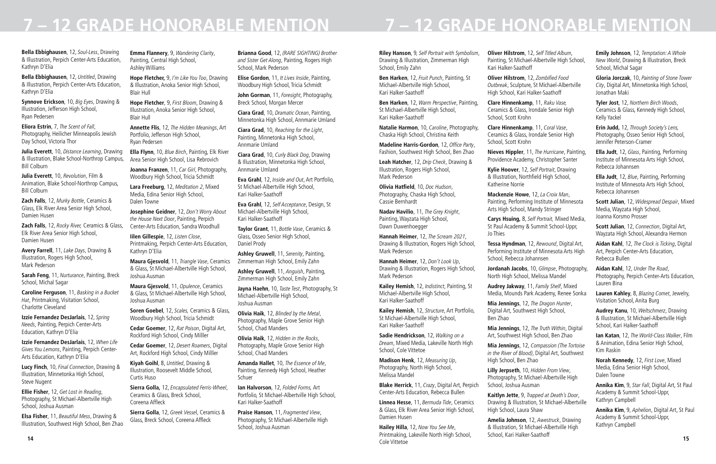**Bella Ebbighausen**, 12, *Soul-Less*, Drawing & Illustration, Perpich Center-Arts Education, Kathryn D'Elia

**Bella Ebbighausen**, 12, *Untitled*, Drawing & Illustration, Perpich Center-Arts Education, Kathryn D'Elia

**Synnove Erickson**, 10, *Big Eyes*, Drawing & Illustration, Jefferson High School, Ryan Pedersen

**Eliora Estrin**, 7, *The Scent of Fall*, Photography, Heilicher Minneapolis Jewish Day School, Victoria Thor

**Julia Everett**, 10, *Distance Learning*, Drawing & Illustration, Blake School-Northrop Campus, Bill Colburn

**Julia Everett**, 10, *Revolution*, Film & Animation, Blake School-Northrop Campus, Bill Colburn

**Zach Falls**, 12, *Murky Bottle*, Ceramics & Glass, Elk River Area Senior High School, Damien Husen

**Zach Falls**, 12, *Rocky River,* Ceramics & Glass, Elk River Area Senior High School, Damien Husen

**Avery Farrell**, 11, *Lake Days*, Drawing & Illustration, Rogers High School, Mark Pederson

**Sarah Feng**, 11, *Nurturance*, Painting, Breck School, Michal Sagar

**Caroline Ferguson**, 11, *Basking in a Bucket Hat*, Printmaking, Visitation School, Charlotte Cleveland

**Izzie Fernandez DesJarlais**, 12, *Spring Needs*, Painting, Perpich Center-Arts Education, Kathryn D'Elia

**Izzie Fernandez DesJarlais**, 12, *When Life Gives You Lemons*, Painting, Perpich Center-Arts Education, Kathryn D'Elia

**Lucy Finch**, 10, *Final Connection*, Drawing & Illustration, Minnetonka High School, Steve Nugent

**Ellie Fisher**, 12, *Get Lost in Reading*, Photography, St Michael-Albertville High School, Joshua Ausman

**Elsa Fisher**, 11, *Beautiful Mess*, Drawing & Illustration, Southwest High School, Ben Zhao

**Emma Flannery**, 9, *Wandering Clarity*, Painting, Central High School, Ashley Williams

> **Elise Gordon**, 11, *It Lives Inside*, Painting, Woodbury High School, Tricia Schmidt

**Hope Fletcher,** 9, *I'm Like You Too*, Drawing & Illustration, Anoka Senior High School, Blair Hull

**Hope Fletcher**, 9, *First Bloom*, Drawing & Illustration, Anoka Senior High School, Blair Hull

**Annette Flis**, 12, *The Hidden Meanings*, Art Portfolio, Jefferson High School, Ryan Pedersen

**Ella Flynn**, 10, *Blue Birch*, Painting, Elk River Area Senior High School, Lisa Rebrovich

**Joanna Franzen**, 11, *Car Girl*, Photography, Woodbury High School, Tricia Schmidt

**Lara Freeburg**, 12, *Meditation 2*, Mixed Media, Edina Senior High School, Dalen Towne

**Josephine Geidner**, 12, *Don't Worry About the House Next Door*, Painting, Perpich Center-Arts Education, Sandra Woodhull

**Iilen Gillespie**, 12, *Listen Close*, Printmaking, Perpich Center-Arts Education, Kathryn D'Elia

**Maura Gjesvold**, 11, *Triangle Vase*, Ceramics & Glass, St Michael-Albertville High School, Joshua Ausman

**Maura Gjesvold**, 11, *Opulence*, Ceramics & Glass, St Michael-Albertville High School, Joshua Ausman

**Soren Goebel**, 12, *Scales,* Ceramics & Glass, Woodbury High School, Tricia Schmidt

**Cedar Goemer**, 12, *Rat Poison*, Digital Art, Rockford High School, Cindy Milller

**Cedar Goemer**, 12, *Desert Roamers*, Digital Art, Rockford High School, Cindy Milller

**Kiyah Goihl**, 8, *Untitled*, Drawing & Illustration, Roosevelt Middle School, Curtis Huso

**Sierra Golla,** 12, *Encapsulated Ferris-Wheel*, Ceramics & Glass, Breck School, Coreena Affleck

**Sierra Golla**, 12, *Greek Vesse*l, Ceramics & Glass, Breck School, Coreena Affleck

**14 15 Hailey Hilla**, 12, *Now You See Me*, Printmaking, Lakeville North High School, Cole Vittetoe

**Brianna Good**, 12, *(RARE SIGHTING) Brother and Sister Get Along*, Painting, Rogers High School, Mark Pederson

**John Gorman**, 11, *Foresight*, Photography, Breck School, Morgan Mercer

**Ciara Grad**, 10, *Dramatic Ocean*, Painting, Minnetonka High School, Annmarie Umland

**Ciara Grad**, 10, *Reaching for the Light*, Painting, Minnetonka High School, Annmarie Umland

**Ciara Grad**, 10, *Curly Black Dog*, Drawing & Illustration, Minnetonka High School, Annmarie Umland

**Eva Grahl**, 12, *Inside and Out*, Art Portfolio, St Michael-Albertville High School, Kari Halker-Saathoff

**Eva Grahl**, 12, *Self Acceptance*, Design, St Michael-Albertville High School, Kari Halker-Saathoff

**Taylor Grant**, 11, *Bottle Vase*, Ceramics & Glass, Osseo Senior High School, Daniel Prody

**Ashley Gruwell**, 11, *Serenity*, Painting, Zimmerman High School, Emily Zahn

**Ashley Gruwell**, 11, *Anguish*, Painting, Zimmerman High School, Emily Zahn

**Jayna Haehn**, 10, *Taste Test*, Photography, St Michael-Albertville High School, Joshua Ausman

**Olivia Haik**, 12, *Blinded by the Metal*, Photography, Maple Grove Senior High School, Chad Manders

**Olivia Haik**, 12, *Hidden in the Rocks*, Photography, Maple Grove Senior High School, Chad Manders

**Amanda Hallet**, 10, *The Essence of Me*, Painting, Kennedy High School, Heather Schuer

**Ian Halvorson**, 12, *Folded Forms,* Art Portfolio, St Michael-Albertville High School, Kari Halker-Saathoff

**Praise Hanson**, 11, *Fragmented View*, Photography, St Michael-Albertville High School, Joshua Ausman

**Riley Hanson**, 9*, Self Portrait with Symbolism*, Drawing & Illustration, Zimmerman High School, Emily Zahn

**Ben Harken**, 12, *Fruit Punch*, Painting, St Michael-Albertville High School, Kari Halker-Saathoff

**Ben Harken**, 12, *Warm Perspective*, Painting, St Michael-Albertville High School, Kari Halker-Saathoff

**Natalie Harmon**, 10, *Caroline*, Photography, Chaska High School, Christina Keith

**Madeline Harris-Gordon**, 12, Office Party, Fashion, Southwest High School, Ben Zhao

**Leah Hatcher**, 12, *Drip Check*, Drawing & Illustration, Rogers High School, Mark Pederson

**Olivia Hatfield**, 10, *Doc Hudson*, Photography, Chaska High School, Cassie Bernhardt

**Nadav Havilio**, 11, *The Grey Knight*, Painting, Wayzata High School, Dawn Duwenhoegger

**Hannah Heimer**, 12, *The Scream 2021*, Drawing & Illustration, Rogers High School, Mark Pederson

**Hannah Heimer**, 12, *Don't Look Up*, Drawing & Illustration, Rogers High School, Mark Pederson

**Kailey Hemish**, 12, *Indistinct*, Painting, St Michael-Albertville High School, Kari Halker-Saathoff

**Kailey Hemish**, 12, *Structure*, Art Portfolio, St Michael-Albertville High School, Kari Halker-Saathoff

**Sadie Hendrickson**, 12, *Walking on a Dream*, Mixed Media, Lakeville North High School, Cole Vittetoe

**Madison Henk**, 12, *Measuring Up*, Photography, North High School, Melissa Mandel

**Blake Herrick**, 11, *Crazy*, Digital Art, Perpich Center-Arts Education, Rebecca Bullen

**Linnea Hesse**, 11, *Bermuda Tide*, Ceramics & Glass, Elk River Area Senior High School, Damien Husen

**Oliver Hilstrom**, 12, *Self Titled Album*, Painting, St Michael-Albertville High School, Kari Halker-Saathoff

**Oliver Hilstrom**, 12, Zombified Food *Outbreak*, Sculpture, St Michael-Albertville High School, Kari Halker-Saathoff

**Clare Hinnenkamp**, 11, *Raku Vase,* Ceramics & Glass, Irondale Senior High School, Scott Krohn

**Clare Hinnenkamp**, 11, *Coral Vase*, Ceramics & Glass, Irondale Senior High School, Scott Krohn

**Nieves Hippler**, 11, *The Hurricane*, Painting, Providence Academy, Christopher Santer

**Kylie Hoover**, 12, *Self Portrait*, Drawing & Illustration, Northfield High School, Katherine Norrie

**Mackenzie Howe**, 12, *La Croix Man*, Painting, Performing Institute of Minnesota Arts High School, Mandy Stringer

**Carys Hsuing,** 8, *Self Portrait,* Mixed Media, St Paul Academy & Summit School-Uppr, Jo Thies

**Tessa Hyndman**, 12, *Rewound*, Digital Art, Performing Institute of Minnesota Arts High School, Rebecca Johannsen

**Jordanah Jacobs**, 10, *Glimpse*, Photography, North High School, Melissa Mandel

**Audrey Jakway**, 11, *Family Shelf*, Mixed Media, Mounds Park Academy, Renee Sonka

**Mia Jennings**, 12, *The Dragon Hunter*, Digital Art, Southwest High School, Ben Zhao

**Mia Jennings**, 12, *The Truth Within*, Digital Art, Southwest High School, Ben Zhao

**Mia Jennings**, 12, *Compassion (The Tortoise in the River of Blood)*, Digital Art, Southwest High School, Ben Zhao

**Lilly Jerpseth**, 10, *Hidden From View*, Photography, St Michael-Albertville High School, Joshua Ausman

**Kaitlyn Jette**, 9, *Trapped at Death's Door*, Drawing & Illustration, St Michael-Albertville High School, Laura Shaw

**Amelia Johnson**, 12, *Awestruck*, Drawing & Illustration, St Michael-Albertville High School, Kari Halker-Saathoff

**Emily Johnson**, 12, *Temptation: A Whole New World*, Drawing & Illustration, Breck School, Michal Sagar

**Gloria Jorczak**, 10, *Painting of Stone Tower City*, Digital Art, Minnetonka High School, Jonathan Maki

**Tyler Jost**, 12, *Northern Birch Woods*, Ceramics & Glass, Kennedy High School, Kelly Yackel

**Erin Judd,** 12, *Through Society's Lens,* Photography, Osseo Senior High School, Jennifer Peterson-Cramer

**Ella Judt**, 12, *Glass*, Painting, Performing Institute of Minnesota Arts High School, Rebecca Johannsen

**Ella Judt**, 12, *Blue*, Painting, Performing Institute of Minnesota Arts High School, Rebecca Johannsen

**Scott Julian**, 12, *Widespread Despair*, Mixed Media, Wayzata High School, Joanna Korsmo Prosser

**Scott Julian**, 12, *Connection*, Digital Art, Wayzata High School, Alexandra Hermon

**Aidan Kahl**, 12, *The Clock is Ticking*, Digital Art, Perpich Center-Arts Education, Rebecca Bullen

**Aidan Kahl**, 12, *Under The Road*, Photography, Perpich Center-Arts Education, Lauren Bina

**Lauren Kahley**, 8, *Blazing Comet*, Jewelry, Visitation School, Anita Burg

**Audrey Kanu**, 10, *Weltschmerz*, Drawing & Illustration, St Michael-Albertville High School, Kari Halker-Saathoff

**Ian Katan**, 12, *The World-Class Walker*, Film & Animation, Edina Senior High School, Kim Raskin

**Norah Kennedy**, 12, *First Love*, Mixed Media, Edina Senior High School, Dalen Towne

**Annika Kim**, 9, *Star Fall*, Digital Art, St Paul Academy & Summit School-Uppr, Kathryn Campbell

**Annika Kim**, 9, *Aphelion*, Digital Art, St Paul Academy & Summit School-Uppr, Kathryn Campbell

## **7 – 12 GRADE HONORABLE MENTION 7 – 12 GRADE HONORABLE MENTION**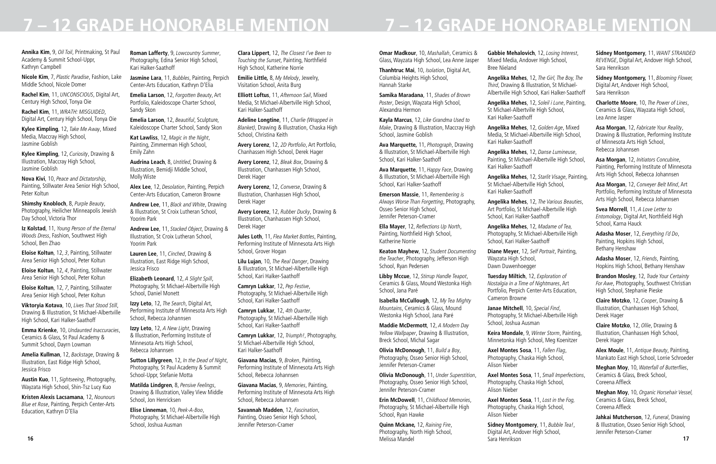**Annika Kim**, 9, *Oil Toil*, Printmaking, St Paul Academy & Summit School-Uppr, Kathryn Campbell

**Nicole Kim**, 7, *Plastic Paradise*, Fashion, Lake Middle School, Nicole Domer

**Rachel Kim**, 11, *UNCONSCIOUS*, Digital Art, Century High School, Tonya Oie

**Rachel Kim**, 11, *WRATH: MISGUIDED*, Digital Art, Century High School, Tonya Oie

**Kylee Kimpling**, 12, *Take Me Away*, Mixed Media, Maccray High School, Jasmine Goblish

**Kylee Kimpling**, 12, *Curiosity*, Drawing & Illustration, Maccray High School, Jasmine Goblish

**Nova Kivi**, 10, *Peace and Dictatorship*, Painting, Stillwater Area Senior High School, Peter Koltun

**Shimshy Knobloch**, 8, *Purple Beauty*, Photography, Heilicher Minneapolis Jewish Day School, Victoria Thor

**Iz Kolstad**, 11, *Young Person of the Eternal Woods Dress*, Fashion, Southwest High School, Ben Zhao

**Eloise Koltun**, 12, *3*, Painting, Stillwater Area Senior High School, Peter Koltun

**Eloise Koltun**, 12, *4*, Painting, Stillwater Area Senior High School, Peter Koltun

**Eloise Koltun**, 12, *7*, Painting, Stillwater Area Senior High School, Peter Koltun

**Viktoryia Kotava**, 10, *Lives That Stood Still*, Drawing & Illustration, St Michael-Albertville High School, Kari Halker-Saathoff

**Emma Krienke**, 10, *Undaunted Inaccuracies*, Ceramics & Glass, St Paul Academy & Summit School, Dayrn Lowman

**Amelia Kullman**, 12, *Backstage*, Drawing & Illustration, East Ridge High School, Jessica Frisco

**Austin Kuo**, 11, *Sightseeing*, Photography, Wayzata High School, Shin-Tsz Lucy Kuo

**Kristen Alexis Lacsamana**, 12, *Nounours Blue et Rose*, Painting, Perpich Center-Arts Education, Kathryn D'Elia

**Roman Lafferty**, 9, *Lowcountry Summer*, Photography, Edina Senior High School, Kari Halker-Saathoff

**Jasmine Lara**, 11, *Bubbles*, Painting, Perpich Center-Arts Education, Kathryn D'Elia

**Emelia Larson**, 12, *Forgotten Beauty*, Art Portfolio, Kaleidoscope Charter School, Sandy Skon

**Emelia Larson**, 12, *Beautiful*, Sculpture, Kaleidoscope Charter School, Sandy Skon

**Kat Lawliss**, 12, *Magic in the Night*, Painting, Zimmerman High School, Emily Zahn

**Audrina Leach**, 8, *Untitled*, Drawing & Illustration, Bemidji Middle School, Molly Wiste

**Alex Lee**, 12, *Desolation*, Painting, Perpich Center-Arts Education, Cameron Browne

**Andrew Lee**, 11, *Black and White*, Drawing & Illustration, St Croix Lutheran School, Yoorim Park

**Andrew Lee**, 11, *Stacked Object*, Drawing & Illustration, St Croix Lutheran School, Yoorim Park

**Lauren Lee**, 11, *Cinched*, Drawing & Illustration, East Ridge High School, Jessica Frisco

**Elizabeth Leonard**, 12, *A Slight Spill*, Photography, St Michael-Albertville High School, Daniel Monett

**Izzy Leto**, 12, *The Search*, Digital Art, Performing Institute of Minnesota Arts High School, Rebecca Johannsen

**Izzy Leto**, 12, *A New Light*, Drawing & Illustration, Performing Institute of Minnesota Arts High School, Rebecca Johannsen

**Sutton Lillygreen**, 12, *In the Dead of Night*, Photography, St Paul Academy & Summit School-Uppr, Stefanie Motta

**Matilda Lindgren**, 8, *Pensive Feelings*, Drawing & Illustration, Valley View Middle School, Jon Henricksen

**Elise Linneman**, 10, *Peek-A-Boo*, Photography, St Michael-Albertville High School, Joshua Ausman

**16 17 Quinn Mckane,** 12, *Raining Fire*, Photography, North High School, Melissa Mandel

**Clara Lippert**, 12, *The Closest I've Been to Touching the Sunset*, Painting, Northfield High School, Katherine Norrie

**Emilie Little,** 8, *My Melody*, Jewelry, Visitation School, Anita Burg

**Elliott Loftus**, 11, *Afternoon Sail*, Mixed Media, St Michael-Albertville High School, Kari Halker-Saathoff

**Adeline Longtine**, 11, *Charlie (Wrapped in Blanket)*, Drawing & Illustration, Chaska High School, Christina Keith

**Avery Lorenz**, 12, *2D Portfolio*, Art Portfolio, Chanhassen High School, Derek Hager

**Avery Lorenz**, 12, *Bleak Box*, Drawing & Illustration, Chanhassen High School, Derek Hager

**Avery Lorenz**, 12, *Converse*, Drawing & Illustration, Chanhassen High School, Derek Hager

**Avery Lorenz**, 12, *Rubber Ducky*, Drawing & Illustration, Chanhassen High School, Derek Hager

**Jules Loth**, 11, *Flea Market Bottles*, Painting, Performing Institute of Minnesota Arts High School, Grover Hogan

**Lilu Lujan**, 10, *The Real Danger*, Drawing & Illustration, St Michael-Albertville High School, Kari Halker-Saathoff

**Camryn Lukkar**, 12, *Pep Festive*, Photography, St Michael-Albertville High School, Kari Halker-Saathoff

**Camryn Lukkar**, 12, *4th Quarter*, Photography, St Michael-Albertville High School, Kari Halker-Saathoff

**Camryn Lukkar**, 12, *Triumph!*, Photography, St Michael-Albertville High School, Kari Halker-Saathoff

**Giavana Macias**, 9, *Broken*, Painting, Performing Institute of Minnesota Arts High School, Rebecca Johannsen

**Giavana Macias**, 9, *Memories*, Painting, Performing Institute of Minnesota Arts High School, Rebecca Johannsen

**Savannah Madden**, 12, *Fascination*, Painting, Osseo Senior High School, Jennifer Peterson-Cramer

**Omar Madkour**, 10, *Mashallah*, Ceramics & Glass, Wayzata High School, Lea Anne Jasper

**Thanhtruc Mai**, 10, *Isolation*, Digital Art, Columbia Heights High School, Hannah Starke

**Samika Maradana**, 11, *Shades of Brown Poster*, Design, Wayzata High School, Alexandra Hermon

**Kayla Marcus**, 12, *Like Grandma Used to Make*, Drawing & Illustration, Maccray High School, Jasmine Goblish

**Ava Marquette,** 11, *Photograph*, Drawing & Illustration, St Michael-Albertville High School, Kari Halker-Saathoff

**Ava Marquette**, 11, *Happy Face*, Drawing & Illustration, St Michael-Albertville High School, Kari Halker-Saathoff

**Emerson Massie**, 11, *Remembering is Always Worse Than Forgetting*, Photography, Osseo Senior High School, Jennifer Peterson-Cramer

**Ella Mayer**, 12, Reflections Up North, Painting, Northfield High School, Katherine Norrie

**Keaton Mayhew**, 12, *Student Documenting the Teacher*, Photography, Jefferson High School, Ryan Pedersen

**Libby Mccue**, 12, *Stirrup Handle Teapot*, Ceramics & Glass, Mound Westonka High School, Jana Paré

**Isabella McCullough**, 12, *My Tea Mighty Mountains*, Ceramics & Glass, Mound Westonka High School, Jana Paré

**Maddie McDermott**, 12, *A Modern Day Yellow Wallpaper*, Drawing & Illustration, Breck School, Michal Sagar

**Olivia McDonough**, 11, *Build a Boy*, Photography, Osseo Senior High School, Jennifer Peterson-Cramer

**Olivia McDonough**, 11, *Under Superstition*, Photography, Osseo Senior High School, Jennifer Peterson-Cramer

**Erin McDowell**, 11, *Childhood Memories*, Photography, St Michael-Albertville High School, Ryan Hawke

**Gabbie Mehalovich**, 12, *Losing Interest*, Mixed Media, Andover High School,

Bree Nieland

**Angelika Mehes**, 12, *The Girl, The Boy, The Third*, Drawing & Illustration, St Michael-Albertville High School, Kari Halker-Saathoff

**Angelika Mehes**, 12, *Soleil i Lune*, Painting, St Michael-Albertville High School, Kari Halker-Saathoff

**Angelika Mehes**, 12, *Golden Age*, Mixed Media, St Michael-Albertville High School, Kari Halker-Saathoff

**Angelika Mehes**, 12, *Danse Lumineuse*, Painting, St Michael-Albertville High School, Kari Halker-Saathoff

**Angelika Mehes**, 12, *Starlit Visage*, Painting, St Michael-Albertville High School, Kari Halker-Saathoff

**Angelika Mehes**, 12, *The Various Beauties*, Art Portfolio, St Michael-Albertville High School, Kari Halker-Saathoff

**Angelika Mehes**, 12, *Madame of Tea,* Photography, St Michael-Albertville High School, Kari Halker-Saathoff

**Diane Meyer**, 12, *Self Portrait*, Painting, Wayzata High School, Dawn Duwenhoegger

**Tuesday Miltich**, 12, *Exploration of Nostalgia in a Time of Nightmares*, Art Portfolio, Perpich Center-Arts Education, Cameron Browne

**Janae Mitchell**, 10, *Special Find*, Photography, St Michael-Albertville High School, Joshua Ausman

**Keira Mondale**, 9, *Winter Storm*, Painting, Minnetonka High School, Meg Koenitzer

**Axel Montes Sosa**, 11, *Fallen Flag*, Photography, Chaska High School, Alison Nieber

**Axel Montes Sosa**, 11, *Small Imperfections*,

Photography, Chaska High School, Alison Nieber

**Axel Montes Sosa**, 11, *Lost in the Fog,* Photography, Chaska High School,

Alison Nieber

**Sidney Montgomery**, 11, *Bubble Tea!*,

Digital Art, Andover High School, Sara Henrikson

**Sidney Montgomery**, 11, *WANT STRANDED REVENGE*, Digital Art, Andover High School, Sara Henrikson

**Sidney Montgomery,** 11, *Blooming Flower,* Digital Art, Andover High School, Sara Henrikson

**Charlotte Moore**, 10, *The Power of Lines*, Ceramics & Glass, Wayzata High School, Lea Anne Jasper

**Asa Morgan**, 12, *Fabricate Your Reality*, Drawing & Illustration, Performing Institute of Minnesota Arts High School, Rebecca Johannsen

**Asa Morgan**, 12, *Initiators Concubine*, Painting, Performing Institute of Minnesota Arts High School, Rebecca Johannsen

**Asa Morgan**, 12, *Conveyer Belt Mind*, Art Portfolio, Performing Institute of Minnesota Arts High School, Rebecca Johannsen

**Svea Morrell**, 11, *A Love Letter to Entomology*, Digital Art, Northfield High School, Karna Hauck

**Adasha Moser**, 12, *Everything I'd Do*, Painting, Hopkins High School, Bethany Henshaw

**Adasha Moser**, 12, *Friends*, Painting, Hopkins High School, Bethany Henshaw

**Brandon Mosley**, 12, *Trade Your Certainty For Awe*, Photography, Southwest Christian High School, Stephanie Pieske

**Claire Motzko**, 12, *Cooper*, Drawing & Illustration, Chanhassen High School, Derek Hager

**Claire Motzko**, 12, *Ollie*, Drawing & Illustration, Chanhassen High School, Derek Hager

**Alex Moule**, 11, *Antique Beauty*, Painting, Mankato East High School, Lorrie Schroeder

**Meghan Moy**, 10, Waterfall of Butterflies, Ceramics & Glass, Breck School, Coreena Affleck

**Meghan Moy**, 10, *Organic Horsehair Vessel,* Ceramics & Glass, Breck School, Coreena Affleck

**Jahkai Mutcherson**, 12, *Funeral*, Drawing & Illustration, Osseo Senior High School, Jennifer Peterson-Cramer

## **7 – 12 GRADE HONORABLE MENTION 7 – 12 GRADE HONORABLE MENTION**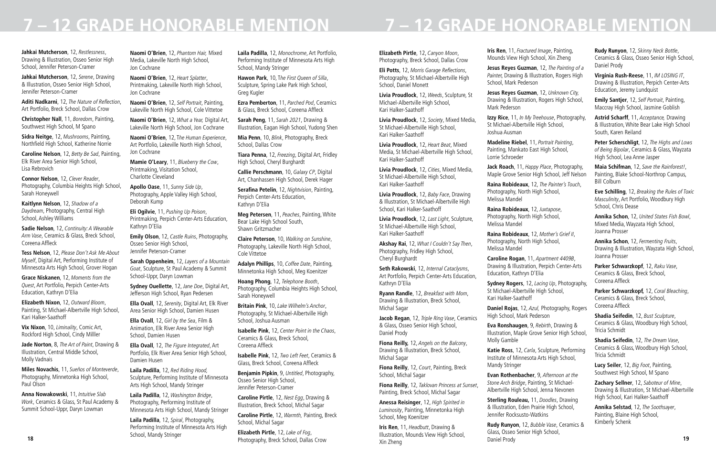**Jahkai Mutcherson**, 12, *Restlessness*, Drawing & Illustration, Osseo Senior High School, Jennifer Peterson-Cramer

**Jahkai Mutcherson**, 12, *Serene*, Drawing & Illustration, Osseo Senior High School, Jennifer Peterson-Cramer

**Aditi Nadkarni**, 12, The Nature of Reflection, Art Portfolio, Breck School, Dallas Crow

**Christopher Nall**, 11, *Boredom*, Painting, Southwest High School, M Spano

**Sidra Neitge**, 12, *Mushrooms*, Painting, Northfield High School, Katherine Norrie

**Caroline Nelson**, 12, *Betty Be Sad*, Painting, Elk River Area Senior High School, Lisa Rebrovich

**Connor Nelson**, 12, *Clever Reader*, Photography, Columbia Heights High School, Sarah Honeywell

**Kaitlynn Nelson**, 12, *Shadow of a Daydream*, Photography, Central High School, Ashley Williams

**Sadie Nelson**, 12, *Continuity: A Wearable Arm Vase*, Ceramics & Glass, Breck School, Coreena Affleck

**Tess Nelson**, 12, *Please Don't Ask Me About Myself*, Digital Art, Performing Institute of Minnesota Arts High School, Grover Hogan

**Grace Niskanen**, 12, *Moments from the Quest*, Art Portfolio, Perpich Center-Arts Education, Kathryn D'Elia

**Elizabeth Nixon**, 12, *Outward Bloom*, Painting, St Michael-Albertville High School, Kari Halker-Saathoff

**Vix Nixon**, 10, *Liminality*, Comic Art, Rockford High School, Cindy Milller

**Jade Norton**, 8, *The Art of Paint*, Drawing & Illustration, Central Middle School, Molly Vadnais

**Miles Novachis**, 11, *Sueños of Monteverde*, Photography, Minnetonka High School, Paul Olson

**Anna Nowakowski**, 11, *Intuitive Slab Work*, Ceramics & Glass, St Paul Academy & Summit School-Uppr, Daryn Lowman

**Naomi O'Brien**, 12, *Phantom Hair,* Mixed Media, Lakeville North High School, Jon Cochrane

**Naomi O'Brien**, 12, *Heart Splatter*, Printmaking, Lakeville North High School, Jon Cochrane

**Naomi O'Brien**, 12, *Self Portrait*, Painting, Lakeville North High School, Cole Vittetoe

**Naomi O'Brien**, 12, *What a Year,* Digital Art, Lakeville North High School, Jon Cochrane

**Naomi O'Brien**, 12, T*he Human Experience*, Art Portfolio, Lakeville North High School, Jon Cochrane

**Mamie O'Leary**, 11, *Blueberry the Cow*, Printmaking, Visitation School, Charlotte Cleveland

**Apollo Oase**, 11, *Sunny Side Up*, Photography, Apple Valley High School, Deborah Kump

**Eli Ogilvie**, 11, *Pushing Up Poison*, Printmaking, Perpich Center-Arts Education, Kathryn D'Elia

**Emily Olson**, 12, *Castle Ruins*, Photography, Osseo Senior High School, Jennifer Peterson-Cramer

**Sarah Oppenheim**, 12, *Layers of a Mountain Goat*, Sculpture, St Paul Academy & Summit School-Uppr, Daryn Lowman

**Sydney Ouellette**, 12, *Jane Doe*, Digital Art, Jefferson High School, Ryan Pedersen

**Ella Ovall**, 12, *Serenity*, Digital Art, Elk River Area Senior High School, Damien Husen

**Ella Ovall**, 12, *Girl by the Sea*, Film & Animation, Elk River Area Senior High School, Damien Husen

**Ella Ovall**, 12, *The Figure Integrated*, Art Portfolio, Elk River Area Senior High School, Damien Husen

**Laila Padilla**, 12, *Red Riding Hood,* Sculpture, Performing Institute of Minnesota Arts High School, Mandy Stringer

**Laila Padilla**, 12, *Washington Bridge*, Photography, Performing Institute of Minnesota Arts High School, Mandy Stringer

**Laila Padilla**, 12, *Spiral*, Photography, Performing Institute of Minnesota Arts High School, Mandy Stringer

**Laila Padilla**, 12, *Monochrome*, Art Portfolio, Performing Institute of Minnesota Arts High School, Mandy Stringer

**Hawon Park**, 10, T*he First Queen of Silla*, Sculpture, Spring Lake Park High School, Greg Kugler

**Ezra Pemberton**, 11, *Parched Pod*, Ceramics & Glass, Breck School, Coreena Affleck

**Sarah Peng**, 11, *Sarah 2021*, Drawing & Illustration, Eagan High School, Yudong Shen

**Mia Penn**, 10, *Blink*, Photography, Breck School, Dallas Crow

**Tiara Penna**, 12, *Freezing*, Digital Art, Fridley High School, Cheryl Burghardt

**Callie Perschmann**, 10, *Galaxy CP*, Digital Art, Chanhassen High School, Derek Hager

**Serafina Petelin**, 12, *Nightvision*, Painting, Perpich Center-Arts Education. Kathryn D'Elia

**Meg Petersen**, 11, *Peaches*, Painting, White Bear Lake High School South, Shawn Gritzmacher

**Claire Peterson**, 10, *Walking on Sunshine*, Photography, Lakeville North High School, Cole Vittetoe

**18 19** Photography, Breck School, Dallas Crow **Rudy Runyon**, 12, *Bubble Vase*, Ceramics & Glass, Osseo Senior High School, Daniel Prody

**Adalyn Phillips**, 10, *Coffee Date*, Painting, Minnetonka High School, Meg Koenitzer

**Hoang Phong**, 12, *Telephone Booth*, Photography, Columbia Heights High School, Sarah Honeywell

**Britain Pink**, 10, *Lake Wilhelm's Anchor*, Photography, St Michael-Albertville High School, Joshua Ausman

**Isabelle Pink**, 12, *Center Point in the Chaos*, Ceramics & Glass, Breck School, Coreena Affleck

**Isabelle Pink**, 12, *Two Left Feet*, Ceramics & Glass, Breck School, Coreena Affleck

**Benjamin Pipkin**, 9, *Untitled*, Photography, Osseo Senior High School, Jennifer Peterson-Cramer

**Caroline Pirtle**, 12, *Nest Egg*, Drawing & Illustration, Breck School, Michal Sagar

**Caroline Pirtle**, 12, *Warmth,* Painting, Breck School, Michal Sagar

**Elizabeth Pirtle**, 12, *Lake of Fog*,

**Elizabeth Pirtle**, 12, *Canyon Moon*, Photography, Breck School, Dallas Crow

**Eli Potts**, 12, Morris Garage Reflections, Photography, St Michael-Albertville High School, Daniel Monett

**Livia Proudlock**, 12, *Weeds*, Sculpture, St Michael-Albertville High School, Kari Halker-Saathoff

**Livia Proudlock**, 12, *Society*, Mixed Media, St Michael-Albertville High School, Kari Halker-Saathoff

**Livia Proudlock**, 12, *Heart Beat*, Mixed Media, St Michael-Albertville High School, Kari Halker-Saathoff

**Livia Proudlock**, 12, *Cities*, Mixed Media, St Michael-Albertville High School, Kari Halker-Saathoff

**Livia Proudlock**, 12, *Baby Face*, Drawing & Illustration, St Michael-Albertville High School, Kari Halker-Saathoff

**Livia Proudlock**, 12, *Last Light*, Sculpture, St Michael-Albertville High School, Kari Halker-Saathoff

**Akshay Rai**, 12, *What I Couldn't Say Then*, Photography, Fridley High School, Cheryl Burghardt

**Seth Rakowski**, 12, *Internal Cataclysms*, Art Portfolio, Perpich Center-Arts Education, Kathryn D'Elia

**Ryann Randle**, 12, *Breakfast with Mom*, Drawing & Illustration, Breck School, Michal Sagar

**Jacob Regan**, 12, *Triple Ring Vase*, Ceramics & Glass, Osseo Senior High School, Daniel Prody

**Fiona Reilly,** 12, *Angels on the Balcony*, Drawing & Illustration, Breck School, Michal Sagar

**Fiona Reilly**, 12, *Court*, Painting, Breck School, Michal Sagar

**Fiona Reilly**, 12, *Taklovan Princess at Sunset*, Painting, Breck School, Michal Sagar

**Anessa Reisinger**, 12, *High Spirited in Luminosity*, Painting, Minnetonka High School, Meg Koenitzer

**Iris Ren**, 11, *Headbutt*, Drawing & Illustration, Mounds View High School, Xin Zheng

**Iris Ren**, 11, *Fractured Image*, Painting, Mounds View High School, Xin Zheng

**Jesus Reyes Guzman**, 12, *The Painting of a Painte*r, Drawing & Illustration, Rogers High School, Mark Pederson

**Jesus Reyes Guzman**, 12, *Unknown City,* Drawing & Illustration, Rogers High School, Mark Pederson

**Izzy Rice**, 11, *In My Treehouse*, Photography, St Michael-Albertville High School, Joshua Ausman

**Madeline Riebel**, 11, *Portrait Painting*, Painting, Mankato East High School, Lorrie Schroeder

**Jack Roach**, 11, *Happy Place*, Photography, Maple Grove Senior High School, Jeff Nelson

**Raina Robideaux**, 12, *The Painter's Touch*,

Photography, North High School, Melissa Mandel

**Raina Robideaux**, 12, *Juxtapose*, Photography, North High School, Melissa Mandel

**Raina Robideaux**, 12, *Mother's Grief II*,

Photography, North High School, Melissa Mandel

**Caroline Rogan**, 11, *Apartment 4409B*, Drawing & Illustration, Perpich Center-Arts Education, Kathryn D'Elia

**Sydney Rogers**, 12, *Lacing Up*, Photography, St Michael-Albertville High School, Kari Halker-Saathoff

**Daniel Rojas**, 12, *Azul,* Photography, Rogers High School, Mark Pederson

**Eva Ronshaugen**, 9, *Rebirth*, Drawing & Illustration, Maple Grove Senior High School, Molly Gamble

**Katie Ross**, 12, *Carla*, Sculpture, Performing Institute of Minnesota Arts High School, Mandy Stringer

**Evan Rothenbacher**, 9, *Afternoon at the Stone Arch Bridge*, Painting, St Michael-Albertville High School, Jenna Nevonen

**Sterling Rouleau,** 11, *Doodles*, Drawing & Illustration, Eden Prairie High School, Jennifer Rocksusto-Watkins

# **7 – 12 GRADE HONORABLE MENTION 7 – 12 GRADE HONORABLE MENTION**

**Rudy Runyon**, 12, *Skinny Neck Bottle*, Ceramics & Glass, Osseo Senior High School, Daniel Prody

**Virginia Rush-Reese**, 11, *IM LOSING IT*, Drawing & Illustration, Perpich Center-Arts Education, Jeremy Lundquist

**Emily Santjer**, 12, *Self Portrait*, Painting, Maccray High School, Jasmine Goblish

**Astrid Scharff**, 11, *Acceptance,* Drawing & Illustration, White Bear Lake High School South, Karen Reiland

**Peter Scherschligt**, 12, *The Highs and Lows of Being Bipolar*, Ceramics & Glass, Wayzata High School, Lea Anne Jasper

**Maia Schifman**, 12, *Save the Rainforest!*, Painting, Blake School-Northrop Campus, Bill Colburn

**Eve Schilling**, 12, *Breaking the Rules of Toxic Masculinity*, Art Portfolio, Woodbury High School, Chris Dease

**Annika Schon**, 12, *United States Fish Bowl*, Mixed Media, Wayzata High School, Joanna Prosser

**Annika Schon**, 12, *Fermenting Fruits*, Drawing & Illustration, Wayzata High School, Joanna Prosser

**Parker Schwarzkopf**, 12, *Raku Vase*, Ceramics & Glass, Breck School, Coreena Affleck

**Parker Schwarzkopf,** 12, *Coral Bleaching*, Ceramics & Glass, Breck School, Coreena Affleck

**Shadia Seifedin**, 12, *Bust Sculpture*, Ceramics & Glass, Woodbury High School, Tricia Schmidt

**Shadia Seifedin**, 12, *The Dream Vase*, Ceramics & Glass, Woodbury High School, Tricia Schmidt

**Lucy Seiler**, 12, *Big Foot*, Painting, Southwest High School, M Spano

**Zachary Sellner**, 12, *Saboteur of Mine*, Drawing & Illustration, St Michael-Albertville High School, Kari Halker-Saathoff

**Annika Selstad**, 12, *The Soothsayer*, Painting, Blaine High School, Kimberly Schenk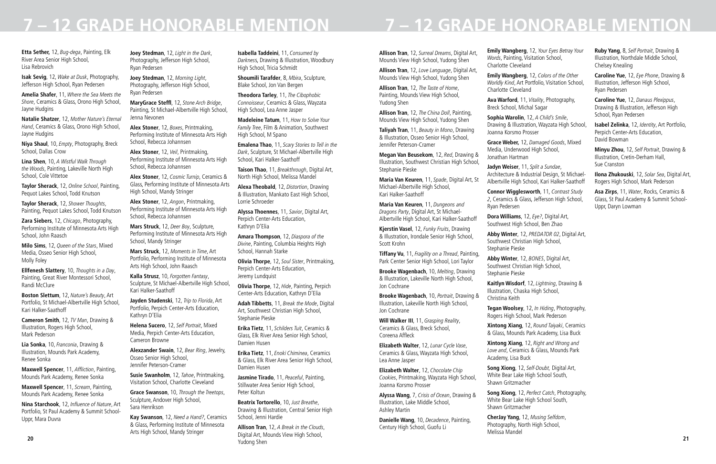**Etta Sether,** 12, *Bug-dega*, Painting, Elk River Area Senior High School, Lisa Rebrovich

**Isak Sevig**, 12, *Wake at Dusk*, Photography, Jefferson High School, Ryan Pedersen

**Amelia Shafer**, 11, *Where the Sea Meets the Shore*, Ceramics & Glass, Orono High School, Jayne Hudgins

**Natalie Shatzer**, 12, *Mother Nature's Eternal Hand*, Ceramics & Glass, Orono High School, Jayne Hudgins

**Niya Shaul**, 10, *Empty*, Photography, Breck School, Dallas Crow

**Lina Shen**, 10, *A Wistful Walk Through the Woods*, Painting, Lakeville North High School, Cole Vittetoe

**Taylor Sherack**, 12, *Online School*, Painting, Pequot Lakes School, Todd Knutson

**Taylor Sherack**, 12, *Shower Thoughts*, Painting, Pequot Lakes School, Todd Knutson

**Zara Siebers**, 12, *Chicago*, Photography, Performing Institute of Minnesota Arts High School, John Raasch

**Milo Sims**, 12, *Queen of the Stars*, Mixed Media, Osseo Senior High School, Molly Foley

**Ellfenesh Slattery**, 10, *Thoughts in a Day*, Painting, Great River Montessori School, Randi McClure

**Boston Slettum**, 12, *Nature's Beauty*, Art Portfolio, St Michael-Albertville High School, Kari Halker-Saathoff

**Cameron Smith**, 12, *TV Man*, Drawing & Illustration, Rogers High School, Mark Pederson

**Lia Sonka**, 10, *Franconia*, Drawing & Illustration, Mounds Park Academy, Renee Sonka

**Maxwell Spencer**, 11, Affliction, Painting, Mounds Park Academy, Renee Sonka

**Maxwell Spencer**, 11, *Scream*, Painting, Mounds Park Academy, Renee Sonka

**Nina Starchook**, 12, Influence of Nature, Art Portfolio, St Paul Academy & Summit School-Uppr, Mara Duvra

**Joey Stedman**, 12, *Light in the Dark*, Photography, Jefferson High School, Ryan Pedersen

**Joey Stedman**, 12, *Morning Light*, Photography, Jefferson High School, Ryan Pedersen

**MaryGrace Steffl**, 12, *Stone Arch Bridge*, Painting, St Michael-Albertville High School, Jenna Nevonen

**Alex Stoner**, 12, *Boxes*, Printmaking, Performing Institute of Minnesota Arts High School, Rebecca Johannsen

**Alex Stoner**, 12, *Veil*, Printmaking, Performing Institute of Minnesota Arts High School, Rebecca Johannsen

**Alex Stoner**, 12, *Cosmic Turnip*, Ceramics & Glass, Performing Institute of Minnesota Arts High School, Mandy Stringer

**Alex Stoner**, 12, *Angon*, Printmaking, Performing Institute of Minnesota Arts High School, Rebecca Johannsen

**Mars Struck**, 12, *Deer Boy*, Sculpture, Performing Institute of Minnesota Arts High School, Mandy Stringer

**20 21 Allison Tran**, 12, *A Break in the Clouds*, Digital Art, Mounds View High School, Yudong Shen

**Mars Struck**, 12, *Moments in Time*, Art Portfolio, Performing Institute of Minnesota Arts High School, John Raasch

**Kalla Strusz**, 10, *Forgotten Fantasy*, Sculpture, St Michael-Albertville High School, Kari Halker-Saathoff

**Jayden Studenski**, 12, *Trip to Florida*, Art Portfolio, Perpich Center-Arts Education, Kathryn D'Elia

**Helena Sucero**, 12, *Self Portrait*, Mixed Media, Perpich Center-Arts Education, Cameron Browne

**Alexzander Swain**, 12, *Bear Ring*, Jewelry, Osseo Senior High School, Jennifer Peterson-Cramer

**Susie Swanholm**, 12, *Tahoe*, Printmaking, Visitation School, Charlotte Cleveland

**Grace Swanson**, 10, *Through the Treetops*, Sculpture, Andover High School, Sara Henrikson

**Kay Swanson**, 12, *Need a Hand?*, Ceramics & Glass, Performing Institute of Minnesota Arts High School, Mandy Stringer

**Isabella Taddeini**, 11, *Consumed by Darknes*s, Drawing & Illustration, Woodbury High School, Tricia Schmidt

**Shoumili Tarafder**, 8, *Mbira*, Sculpture, Blake School, Jon Van Bergen

**Theodora Tarley**, 11, *The Cibophobic Connoisseur*, Ceramics & Glass, Wayzata High School, Lea Anne Jasper

**Madeleine Tatum**, 11, *How to Solve Your Family Tree*, Film & Animation, Southwest High School, M Spano

**Emalena Thao**, 11, *Scary Stories to Tell in the Dark*, Sculpture, St Michael-Albertville High School, Kari Halker-Saathoff

**Taison Thao**, 11, *Breakthrough*, Digital Art, North High School, Melissa Mandel

**Alexa Theobald**, 12, *Distortion*, Drawing & Illustration, Mankato East High School, Lorrie Schroeder

**Alyssa Thoennes**, 11, *Savior*, Digital Art, Perpich Center-Arts Education, Kathryn D'Elia

**Amara Thompson**, 12, *Diaspora of the Divine*, Painting, Columbia Heights High School, Hannah Starke

**Olivia Thorpe**, 12, *Soul Sister*, Printmaking, Perpich Center-Arts Education, Jeremy Lundquist

**Olivia Thorpe**, 12, *Hide*, Painting, Perpich Center-Arts Education, Kathryn D'Elia

**Adah Tibbetts**, 11, *Break the Mode*, Digital Art, Southwest Christian High School, Stephanie Pieske

**Erika Tietz**, 11, *Schilders Tuit*, Ceramics & Glass, Elk River Area Senior High School, Damien Husen

**Erika Tietz**, 11, *Enoki Chiminea*, Ceramics & Glass, Elk River Area Senior High School, Damien Husen

**Jasmine Tirado**, 11, *Peaceful*, Painting, Stillwater Area Senior High School, Peter Koltun

**Beatrix Tortorello**, 10, *Just Breathe*, Drawing & Illustration, Central Senior High School, Jenni Hardie

## **7 – 12 GRADE HONORABLE MENTION**

**Allison Tran**, 12, *Surreal Dreams*, Digital Art, Mounds View High School, Yudong Shen

**Allison Tran**, 12, *Love Language*, Digital Art, Mounds View High School, Yudong Shen

**Allison Tran**, 12, *The Taste of Home*, Painting, Mounds View High School, Yudong Shen

**Allison Tran**, 12, *The China Doll*, Painting, Mounds View High School, Yudong Shen

**Taliyah Tran**, 11, *Beauty in Mono*, Drawing & Illustration, Osseo Senior High School, Jennifer Peterson-Cramer

**Megan Van Beusekom**, 12, *Red*, Drawing & Illustration, Southwest Christian High School, Stephanie Pieske

**Maria Van Keuren**, 11, *Spade*, Digital Art, St Michael-Albertville High School, Kari Halker-Saathoff

**Maria Van Keuren**, 11, *Dungeons and Dragons Party*, Digital Art, St Michael-Albertville High School, Kari Halker-Saathoff

**Kjerstin Vasel**, 12, *Funky Fruits*, Drawing & Illustration, Irondale Senior High School, Scott Krohn

**Tiffany Vu**, 11, *Fragility on a Thread*, Painting, Park Center Senior High School, Lori Taylor

**Brooke Wagenbach**, 10, *Melting*, Drawing & Illustration, Lakeville North High School, Jon Cochrane

**Brooke Wagenbach**, 10, *Portrait*, Drawing & Illustration, Lakeville North High School, Jon Cochrane

**Will Walker III**, 11, *Grasping Reality*, Ceramics & Glass, Breck School, Coreena Affleck

**Elizabeth Walter**, 12, *Lunar Cycle Vase*, Ceramics & Glass, Wayzata High School, Lea Anne Jasper

**Elizabeth Walter**, 12, *Chocolate Chip Cookies*, Printmaking, Wayzata High School, Joanna Korsmo Prosser

**Alyssa Wang**, 7, *Crisis of Ocean*, Drawing & Illustration, Lake Middle School, Ashley Martin

**Danielle Wang**, 10, *Decadence*, Painting, Century High School, Guofu Li

**Emily Wangberg**, 12, *Your Eyes Betray Your Words*, Painting, Visitation School, Charlotte Cleveland

**Emily Wangberg**, 12, *Colors of the Other Worldly Kind*, Art Portfolio, Visitation School, Charlotte Cleveland

**Ava Warford**, 11, *Vitality*, Photography, Breck School, Michal Sagar

**Sophia Warolin**, 12, *A Child's Smile*, Drawing & Illustration, Wayzata High School, Joanna Korsmo Prosser

**Grace Weber,** 12, *Damaged Goods*, Mixed Media, Underwood High School, Jonathan Hartman

**Jadyn Weiser**, 11, *Split a Sundae*, Architecture & Industrial Design, St Michael-Albertville High School, Kari Halker-Saathoff

**Connor Wigglesworth**, 11, *Contrast Study 2*, Ceramics & Glass, Jefferson High School, Ryan Pedersen

**Dora Williams**, 12, *Eye?*, Digital Art, Southwest High School, Ben Zhao

**Abby Winter**, 12, *PREDATOR 02*, Digital Art, Southwest Christian High School, Stephanie Pieske

**Abby Winter**, 12, *BONES*, Digital Art, Southwest Christian High School, Stephanie Pieske

**Kaitlyn Wisdorf**, 12, *Lightning*, Drawing & Illustration, Chaska High School, Christina Keith

**Tegan Woolsey**, 12, *In Hiding*, Photography, Rogers High School, Mark Pederson

**Xintong Xiang**, 12, *Round Taiyaki*, Ceramics & Glass, Mounds Park Academy, Lisa Buck

**Xintong Xiang**, 12, *Right and Wrong and Love and*, Ceramics & Glass, Mounds Park Academy, Lisa Buck

**Song Xiong**, 12, *Self-Doubt,* Digital Art, White Bear Lake High School South, Shawn Gritzmacher

**Song Xiong**, 12, *Perfect Catch*, Photography, White Bear Lake High School South, Shawn Gritzmacher

**CherJay Yang**, 12, *Musing Selfdom*, Photography, North High School,

Melissa Mandel

# **7 – 12 GRADE HONORABLE MENTION**

**Ruby Yang**, 8, *Self Portrait*, Drawing & Illustration, Northdale Middle School, Chelsey Knealing

**Caroline Yue**, 12, *Eye Phone*, Drawing & Illustration, Jefferson High School, Ryan Pedersen

**Caroline Yue**, 12, *Danaus Plexippus*, Drawing & Illustration, Jefferson High School, Ryan Pedersen

**Isabel Zelinka**, 12, *Identity*, Art Portfolio, Perpich Center-Arts Education, David Bowman

**Minyu Zhou**, 12, *Self Portrait*, Drawing & Illustration, Cretin-Derham Hall, Sue Cranston

**Ilona Zhukouski**, 12, *Solar Sea*, Digital Art, Rogers High School, Mark Pederson

**Asa Zirps**, 11, *Water*, Rocks, Ceramics & Glass, St Paul Academy & Summit School-Uppr, Daryn Lowman